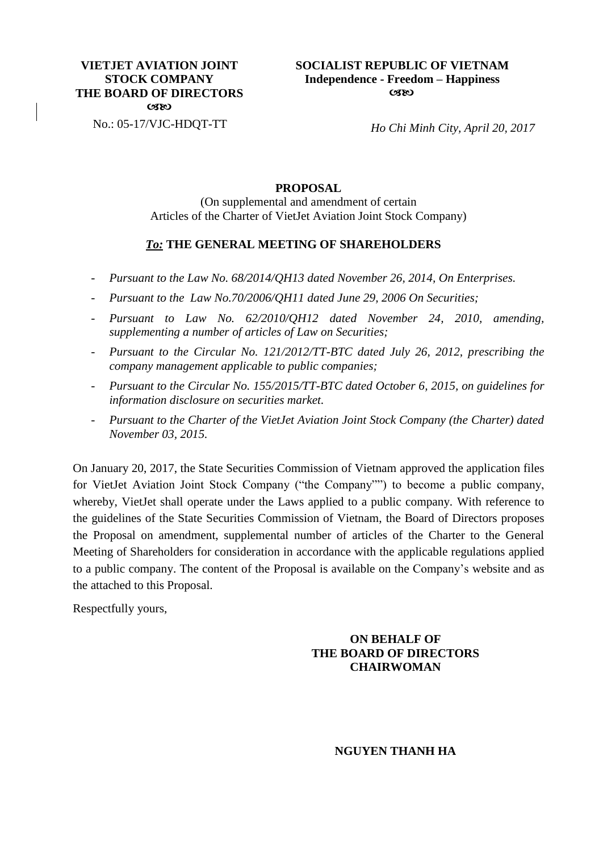### **VIETJET AVIATION JOINT STOCK COMPANY THE BOARD OF DIRECTORS**  $C380$

No.: 05-17/VJC-HDQT-TT

*Ho Chi Minh City, April 20, 2017*

### **PROPOSAL**

(On supplemental and amendment of certain Articles of the Charter of VietJet Aviation Joint Stock Company)

## *To:* **THE GENERAL MEETING OF SHAREHOLDERS**

- *Pursuant to the [Law No. 68/2014/QH13 dated November 26, 2014, On Enterprises.](http://thuvienphapluat.vn/van-ban/Doanh-nghiep/Law-No-68-2014-QH13-on-enterprises-267036.aspx?tab=1)*
- *Pursuant to the [Law No.70/2006/QH11 dated June 29, 2006 On Securities;](http://thuvienphapluat.vn/van-ban/Chung-khoan/Law-No-70-2006-QH11-of-June-29-2006-on-securities-80649.aspx?tab=1)*
- *Pursuant to [Law No. 62/2010/QH12 dated November 24, 2010, amending,](http://thuvienphapluat.vn/van-ban/Chung-khoan/Law-No-62-2010-QH12-of-November-24-2010-amending-supplementing-a-number-of-a-123591.aspx?tab=1)  [supplementing a number of articles of Law on Securities;](http://thuvienphapluat.vn/van-ban/Chung-khoan/Law-No-62-2010-QH12-of-November-24-2010-amending-supplementing-a-number-of-a-123591.aspx?tab=1)*
- *Pursuant to the [Circular No. 121/2012/TT-BTC](http://thuvienphapluat.vn/van-ban/Doanh-nghiep/Circular-No-121-2012-TT-BTC-prescribing-the-company-management-applicable-145817.aspx?tab=1) dated July 26, 2012, prescribing the [company management applicable to public companies;](http://thuvienphapluat.vn/van-ban/Doanh-nghiep/Circular-No-121-2012-TT-BTC-prescribing-the-company-management-applicable-145817.aspx?tab=1)*
- *Pursuant to the [Circular No. 155/2015/TT-BTC dated October 6,](http://thuvienphapluat.vn/van-ban/Chung-khoan/Circular-No-155-2015-TT-BTC-information-disclosure-on-securities-market-294304.aspx?tab=1) 2015, on guidelines for [information disclosure on securities market.](http://thuvienphapluat.vn/van-ban/Chung-khoan/Circular-No-155-2015-TT-BTC-information-disclosure-on-securities-market-294304.aspx?tab=1)*
- *Pursuant to the Charter of the VietJet Aviation Joint Stock Company (the Charter) dated November 03, 2015.*

On January 20, 2017, the State Securities Commission of Vietnam approved the application files for VietJet Aviation Joint Stock Company ("the Company"") to become a public company, whereby, VietJet shall operate under the Laws applied to a public company. With reference to the guidelines of the State Securities Commission of Vietnam, the Board of Directors proposes the Proposal on amendment, supplemental number of articles of the Charter to the General Meeting of Shareholders for consideration in accordance with the applicable regulations applied to a public company. The content of the Proposal is available on the Company's website and as the attached to this Proposal.

Respectfully yours,

## **ON BEHALF OF THE BOARD OF DIRECTORS CHAIRWOMAN**

#### **NGUYEN THANH HA**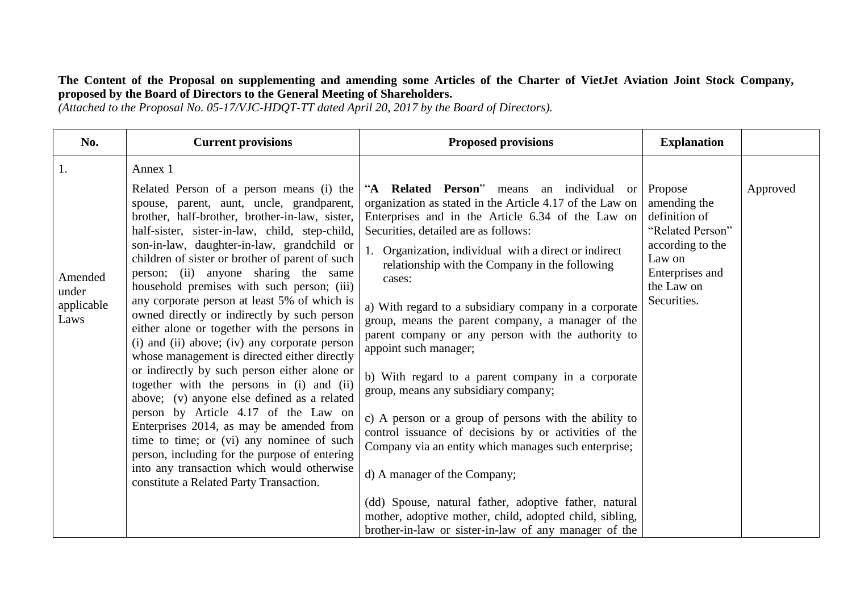# **The Content of the Proposal on supplementing and amending some Articles of the Charter of VietJet Aviation Joint Stock Company, proposed by the Board of Directors to the General Meeting of Shareholders.**

*(Attached to the Proposal No. 05-17/VJC-HDQT-TT dated April 20, 2017 by the Board of Directors).*

| No.                            | <b>Current provisions</b>                                                                                                                                                                                                                      | <b>Proposed provisions</b>                                                                                                                                                                                     | <b>Explanation</b>                                                              |          |
|--------------------------------|------------------------------------------------------------------------------------------------------------------------------------------------------------------------------------------------------------------------------------------------|----------------------------------------------------------------------------------------------------------------------------------------------------------------------------------------------------------------|---------------------------------------------------------------------------------|----------|
| 1.                             | Annex 1<br>Related Person of a person means (i) the                                                                                                                                                                                            | "A Related Person" means an individual<br><sub>or</sub>                                                                                                                                                        | Propose                                                                         | Approved |
|                                | spouse, parent, aunt, uncle, grandparent,<br>brother, half-brother, brother-in-law, sister,<br>half-sister, sister-in-law, child, step-child,<br>son-in-law, daughter-in-law, grandchild or<br>children of sister or brother of parent of such | organization as stated in the Article 4.17 of the Law on<br>Enterprises and in the Article 6.34 of the Law on<br>Securities, detailed are as follows:<br>1. Organization, individual with a direct or indirect | amending the<br>definition of<br>"Related Person"<br>according to the<br>Law on |          |
| Amended<br>under<br>applicable | person; (ii) anyone sharing the same<br>household premises with such person; (iii)<br>any corporate person at least 5% of which is<br>owned directly or indirectly by such person                                                              | relationship with the Company in the following<br>cases:<br>a) With regard to a subsidiary company in a corporate                                                                                              | Enterprises and<br>the Law on<br>Securities.                                    |          |
| Laws                           | either alone or together with the persons in<br>(i) and (ii) above; (iv) any corporate person<br>whose management is directed either directly                                                                                                  | group, means the parent company, a manager of the<br>parent company or any person with the authority to<br>appoint such manager;                                                                               |                                                                                 |          |
|                                | or indirectly by such person either alone or<br>together with the persons in (i) and (ii)<br>above; (v) anyone else defined as a related                                                                                                       | b) With regard to a parent company in a corporate<br>group, means any subsidiary company;                                                                                                                      |                                                                                 |          |
|                                | person by Article 4.17 of the Law on<br>Enterprises 2014, as may be amended from<br>time to time; or (vi) any nominee of such<br>person, including for the purpose of entering                                                                 | c) A person or a group of persons with the ability to<br>control issuance of decisions by or activities of the<br>Company via an entity which manages such enterprise;                                         |                                                                                 |          |
|                                | into any transaction which would otherwise<br>constitute a Related Party Transaction.                                                                                                                                                          | d) A manager of the Company;                                                                                                                                                                                   |                                                                                 |          |
|                                |                                                                                                                                                                                                                                                | (dd) Spouse, natural father, adoptive father, natural                                                                                                                                                          |                                                                                 |          |
|                                |                                                                                                                                                                                                                                                | mother, adoptive mother, child, adopted child, sibling,<br>brother-in-law or sister-in-law of any manager of the                                                                                               |                                                                                 |          |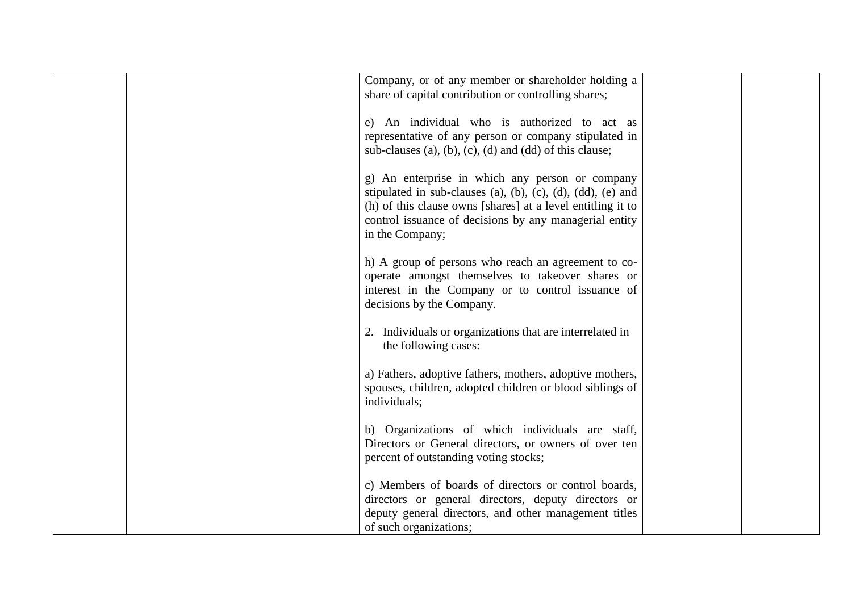| Company, or of any member or shareholder holding a<br>share of capital contribution or controlling shares; |  |
|------------------------------------------------------------------------------------------------------------|--|
| e) An individual who is authorized to act as                                                               |  |
| representative of any person or company stipulated in                                                      |  |
| sub-clauses (a), (b), (c), (d) and (dd) of this clause;                                                    |  |
|                                                                                                            |  |
| g) An enterprise in which any person or company                                                            |  |
| stipulated in sub-clauses (a), (b), (c), (d), (dd), (e) and                                                |  |
| (h) of this clause owns [shares] at a level entitling it to                                                |  |
| control issuance of decisions by any managerial entity                                                     |  |
| in the Company;                                                                                            |  |
|                                                                                                            |  |
| h) A group of persons who reach an agreement to co-                                                        |  |
| operate amongst themselves to takeover shares or                                                           |  |
| interest in the Company or to control issuance of<br>decisions by the Company.                             |  |
|                                                                                                            |  |
| 2. Individuals or organizations that are interrelated in                                                   |  |
| the following cases:                                                                                       |  |
|                                                                                                            |  |
| a) Fathers, adoptive fathers, mothers, adoptive mothers,                                                   |  |
| spouses, children, adopted children or blood siblings of                                                   |  |
| individuals;                                                                                               |  |
|                                                                                                            |  |
| b) Organizations of which individuals are staff,<br>Directors or General directors, or owners of over ten  |  |
| percent of outstanding voting stocks;                                                                      |  |
|                                                                                                            |  |
| c) Members of boards of directors or control boards,                                                       |  |
| directors or general directors, deputy directors or                                                        |  |
| deputy general directors, and other management titles                                                      |  |
| of such organizations;                                                                                     |  |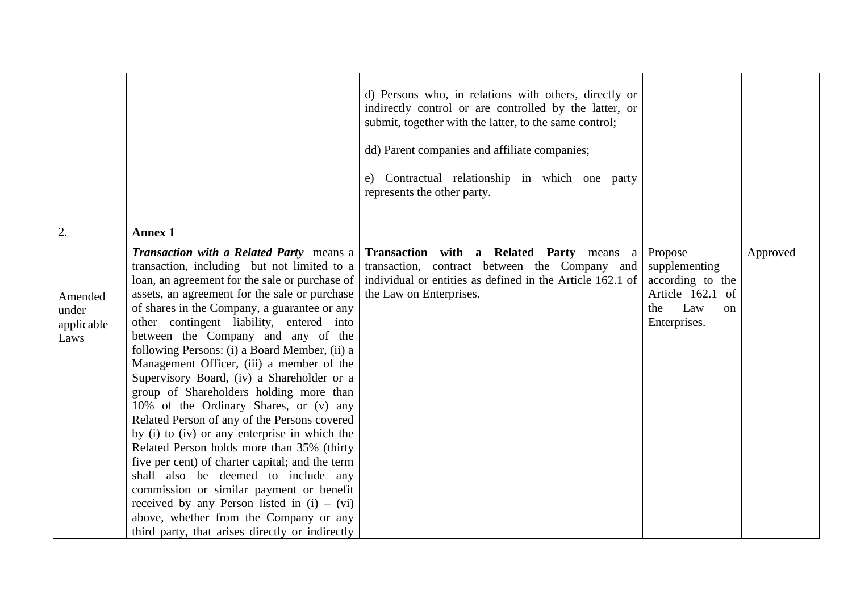|                                        |                                                                                                                                                                                                                                                                                                                                                                                                                                                                                                                                                                                                                                                                                                                                                                                                                                                                                                                                                                                                         | d) Persons who, in relations with others, directly or<br>indirectly control or are controlled by the latter, or<br>submit, together with the latter, to the same control;<br>dd) Parent companies and affiliate companies;<br>e) Contractual relationship in which one party<br>represents the other party. |                                                                                                      |          |
|----------------------------------------|---------------------------------------------------------------------------------------------------------------------------------------------------------------------------------------------------------------------------------------------------------------------------------------------------------------------------------------------------------------------------------------------------------------------------------------------------------------------------------------------------------------------------------------------------------------------------------------------------------------------------------------------------------------------------------------------------------------------------------------------------------------------------------------------------------------------------------------------------------------------------------------------------------------------------------------------------------------------------------------------------------|-------------------------------------------------------------------------------------------------------------------------------------------------------------------------------------------------------------------------------------------------------------------------------------------------------------|------------------------------------------------------------------------------------------------------|----------|
| 2.                                     | <b>Annex 1</b>                                                                                                                                                                                                                                                                                                                                                                                                                                                                                                                                                                                                                                                                                                                                                                                                                                                                                                                                                                                          |                                                                                                                                                                                                                                                                                                             |                                                                                                      |          |
| Amended<br>under<br>applicable<br>Laws | <b>Transaction with a Related Party</b> means a<br>transaction, including but not limited to a<br>loan, an agreement for the sale or purchase of<br>assets, an agreement for the sale or purchase<br>of shares in the Company, a guarantee or any<br>other contingent liability, entered into<br>between the Company and any of the<br>following Persons: (i) a Board Member, (ii) a<br>Management Officer, (iii) a member of the<br>Supervisory Board, (iv) a Shareholder or a<br>group of Shareholders holding more than<br>10% of the Ordinary Shares, or (v) any<br>Related Person of any of the Persons covered<br>by (i) to (iv) or any enterprise in which the<br>Related Person holds more than 35% (thirty<br>five per cent) of charter capital; and the term<br>shall also be deemed to include any<br>commission or similar payment or benefit<br>received by any Person listed in $(i) - (vi)$<br>above, whether from the Company or any<br>third party, that arises directly or indirectly | Transaction with a Related Party means a<br>transaction, contract between the Company and<br>individual or entities as defined in the Article 162.1 of<br>the Law on Enterprises.                                                                                                                           | Propose<br>supplementing<br>according to the<br>Article 162.1 of<br>Law<br>the<br>on<br>Enterprises. | Approved |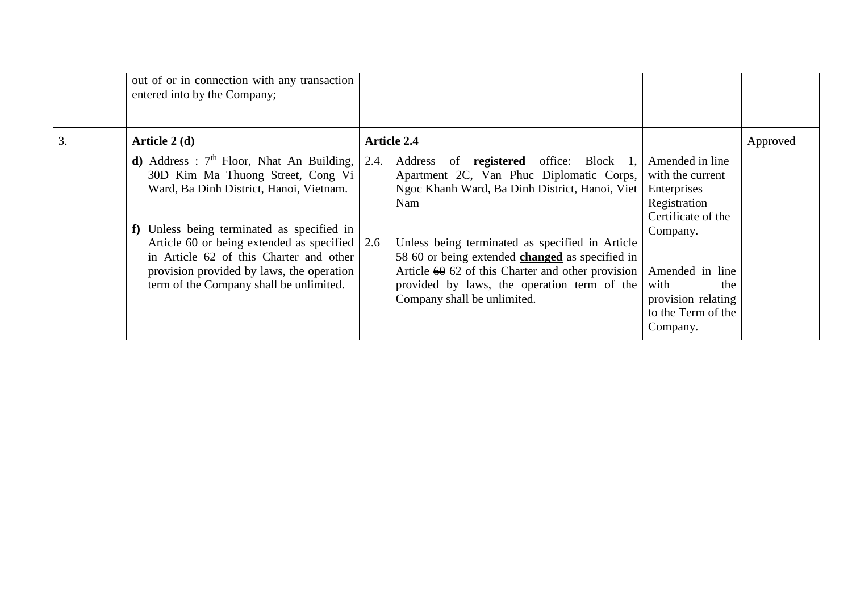|    | out of or in connection with any transaction<br>entered into by the Company;                                                                                                                                                                                                                                                                                                  |      |                                                                                                                                                                                                                                                                                                                                                                                                |                                                                                                                                                                                                |          |
|----|-------------------------------------------------------------------------------------------------------------------------------------------------------------------------------------------------------------------------------------------------------------------------------------------------------------------------------------------------------------------------------|------|------------------------------------------------------------------------------------------------------------------------------------------------------------------------------------------------------------------------------------------------------------------------------------------------------------------------------------------------------------------------------------------------|------------------------------------------------------------------------------------------------------------------------------------------------------------------------------------------------|----------|
| 3. | Article 2 (d)                                                                                                                                                                                                                                                                                                                                                                 |      | <b>Article 2.4</b>                                                                                                                                                                                                                                                                                                                                                                             |                                                                                                                                                                                                | Approved |
|    | <b>d</b> ) Address : $7th$ Floor, Nhat An Building,<br>30D Kim Ma Thuong Street, Cong Vi<br>Ward, Ba Dinh District, Hanoi, Vietnam.<br>f) Unless being terminated as specified in<br>Article 60 or being extended as specified $\vert$ 2.6<br>in Article 62 of this Charter and other<br>provision provided by laws, the operation<br>term of the Company shall be unlimited. | 2.4. | Address of <b>registered</b> office: Block 1,<br>Apartment 2C, Van Phuc Diplomatic Corps,<br>Ngoc Khanh Ward, Ba Dinh District, Hanoi, Viet<br>Nam<br>Unless being terminated as specified in Article<br>58 60 or being extended changed as specified in<br>Article $60\,62$ of this Charter and other provision<br>provided by laws, the operation term of the<br>Company shall be unlimited. | Amended in line<br>with the current<br>Enterprises<br>Registration<br>Certificate of the<br>Company.<br>Amended in line<br>with<br>the<br>provision relating<br>to the Term of the<br>Company. |          |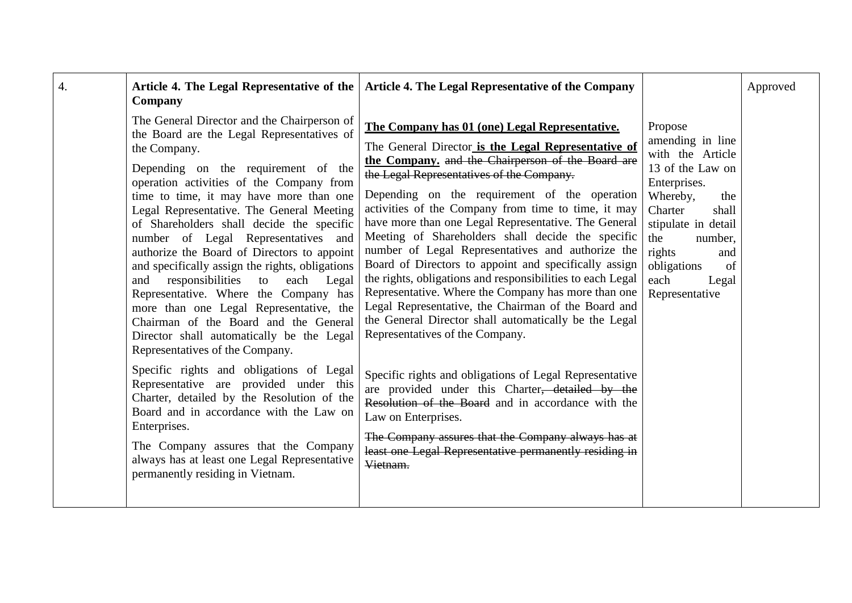| Company                                                                                                                                                                                                                                                                                                                                                                                                                                                                                                                                                                                                                                                                                                                                | Article 4. The Legal Representative of the   Article 4. The Legal Representative of the Company                                                                                                                                                                                                                                                                                                                                                                                                                                                                                                                                                                                                                                                                                                                    |                                                                                                                                                                                                                                              | Approved |
|----------------------------------------------------------------------------------------------------------------------------------------------------------------------------------------------------------------------------------------------------------------------------------------------------------------------------------------------------------------------------------------------------------------------------------------------------------------------------------------------------------------------------------------------------------------------------------------------------------------------------------------------------------------------------------------------------------------------------------------|--------------------------------------------------------------------------------------------------------------------------------------------------------------------------------------------------------------------------------------------------------------------------------------------------------------------------------------------------------------------------------------------------------------------------------------------------------------------------------------------------------------------------------------------------------------------------------------------------------------------------------------------------------------------------------------------------------------------------------------------------------------------------------------------------------------------|----------------------------------------------------------------------------------------------------------------------------------------------------------------------------------------------------------------------------------------------|----------|
| The General Director and the Chairperson of<br>the Board are the Legal Representatives of<br>the Company.<br>Depending on the requirement of the<br>operation activities of the Company from<br>time to time, it may have more than one<br>Legal Representative. The General Meeting<br>of Shareholders shall decide the specific<br>number of Legal Representatives and<br>authorize the Board of Directors to appoint<br>and specifically assign the rights, obligations<br>responsibilities to<br>and<br>each<br>Legal<br>Representative. Where the Company has<br>more than one Legal Representative, the<br>Chairman of the Board and the General<br>Director shall automatically be the Legal<br>Representatives of the Company. | The Company has 01 (one) Legal Representative.<br>The General Director is the Legal Representative of<br>the Company, and the Chairperson of the Board are<br>the Legal Representatives of the Company.<br>Depending on the requirement of the operation<br>activities of the Company from time to time, it may<br>have more than one Legal Representative. The General<br>Meeting of Shareholders shall decide the specific<br>number of Legal Representatives and authorize the<br>Board of Directors to appoint and specifically assign<br>the rights, obligations and responsibilities to each Legal<br>Representative. Where the Company has more than one<br>Legal Representative, the Chairman of the Board and<br>the General Director shall automatically be the Legal<br>Representatives of the Company. | Propose<br>amending in line<br>with the Article<br>13 of the Law on<br>Enterprises.<br>Whereby,<br>the<br>Charter<br>shall<br>stipulate in detail<br>the<br>number,<br>rights<br>and<br>obligations<br>of<br>each<br>Legal<br>Representative |          |
| Specific rights and obligations of Legal<br>Representative are provided under this<br>Charter, detailed by the Resolution of the<br>Board and in accordance with the Law on<br>Enterprises.<br>The Company assures that the Company<br>always has at least one Legal Representative<br>permanently residing in Vietnam.                                                                                                                                                                                                                                                                                                                                                                                                                | Specific rights and obligations of Legal Representative<br>are provided under this Charter, detailed by the<br>Resolution of the Board and in accordance with the<br>Law on Enterprises.<br>The Company assures that the Company always has at<br>least one Legal Representative permanently residing in<br>Vietnam.                                                                                                                                                                                                                                                                                                                                                                                                                                                                                               |                                                                                                                                                                                                                                              |          |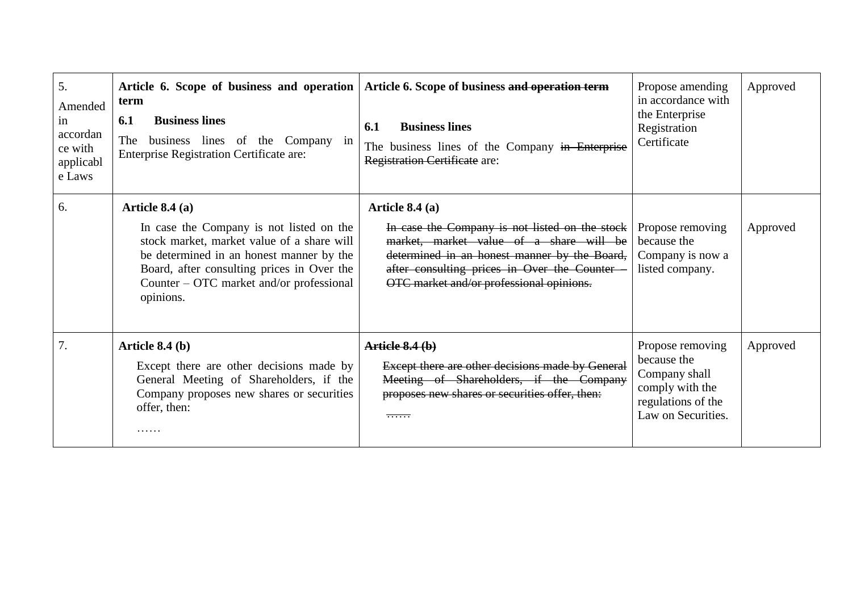| 5.<br>Amended<br>1n<br>accordan<br>ce with<br>applicabl<br>e Laws | Article 6. Scope of business and operation<br>term<br><b>Business lines</b><br>6.1<br>business lines of the Company in<br>The<br><b>Enterprise Registration Certificate are:</b>                                                                              | Article 6. Scope of business and operation term<br><b>Business lines</b><br>6.1<br>The business lines of the Company in Enterprise<br>Registration Certificate are:                                                                                      | Propose amending<br>in accordance with<br>the Enterprise<br>Registration<br>Certificate                         | Approved |
|-------------------------------------------------------------------|---------------------------------------------------------------------------------------------------------------------------------------------------------------------------------------------------------------------------------------------------------------|----------------------------------------------------------------------------------------------------------------------------------------------------------------------------------------------------------------------------------------------------------|-----------------------------------------------------------------------------------------------------------------|----------|
| 6.                                                                | Article $8.4(a)$<br>In case the Company is not listed on the<br>stock market, market value of a share will<br>be determined in an honest manner by the<br>Board, after consulting prices in Over the<br>Counter – OTC market and/or professional<br>opinions. | Article $8.4(a)$<br>In case the Company is not listed on the stock<br>market, market value of a share will be<br>determined in an honest manner by the Board,<br>after consulting prices in Over the Counter<br>OTC market and/or professional opinions. | Propose removing<br>because the<br>Company is now a<br>listed company.                                          | Approved |
| 7.                                                                | Article $8.4$ (b)<br>Except there are other decisions made by<br>General Meeting of Shareholders, if the<br>Company proposes new shares or securities<br>offer, then:                                                                                         | Article 8.4(b)<br>Except there are other decisions made by General<br>Meeting of Shareholders, if the Company<br>proposes new shares or securities offer, then:<br><del>.</del>                                                                          | Propose removing<br>because the<br>Company shall<br>comply with the<br>regulations of the<br>Law on Securities. | Approved |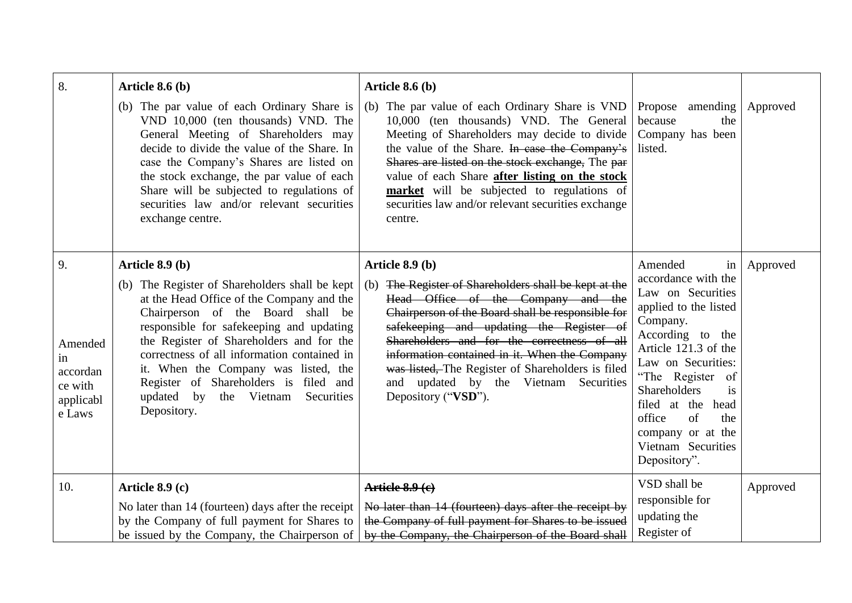| 8.                                                                | Article $8.6$ (b)                                                                                                                                                                                                                                                                                                                                                                                                               | Article $8.6(b)$                                                                                                                                                                                                                                                                                                                                                                                                                     |                                                                                                                                                                                                                                                                                                                             |          |
|-------------------------------------------------------------------|---------------------------------------------------------------------------------------------------------------------------------------------------------------------------------------------------------------------------------------------------------------------------------------------------------------------------------------------------------------------------------------------------------------------------------|--------------------------------------------------------------------------------------------------------------------------------------------------------------------------------------------------------------------------------------------------------------------------------------------------------------------------------------------------------------------------------------------------------------------------------------|-----------------------------------------------------------------------------------------------------------------------------------------------------------------------------------------------------------------------------------------------------------------------------------------------------------------------------|----------|
|                                                                   | (b) The par value of each Ordinary Share is<br>VND 10,000 (ten thousands) VND. The<br>General Meeting of Shareholders may<br>decide to divide the value of the Share. In<br>case the Company's Shares are listed on<br>the stock exchange, the par value of each<br>Share will be subjected to regulations of<br>securities law and/or relevant securities<br>exchange centre.                                                  | (b) The par value of each Ordinary Share is VND<br>10,000 (ten thousands) VND. The General<br>Meeting of Shareholders may decide to divide<br>the value of the Share. In case the Company's<br>Shares are listed on the stock exchange, The par<br>value of each Share after listing on the stock<br>market will be subjected to regulations of<br>securities law and/or relevant securities exchange<br>centre.                     | amending<br>Propose<br>because<br>the<br>Company has been<br>listed.                                                                                                                                                                                                                                                        | Approved |
| 9.<br>Amended<br>in<br>accordan<br>ce with<br>applicabl<br>e Laws | Article 8.9 (b)<br>(b) The Register of Shareholders shall be kept<br>at the Head Office of the Company and the<br>Chairperson of the Board shall be<br>responsible for safekeeping and updating<br>the Register of Shareholders and for the<br>correctness of all information contained in<br>it. When the Company was listed, the<br>Register of Shareholders is filed and<br>updated by the Vietnam Securities<br>Depository. | Article 8.9 (b)<br>(b) The Register of Shareholders shall be kept at the<br>Head Office of the Company and the<br>Chairperson of the Board shall be responsible for<br>safekeeping and updating the Register of<br>Shareholders and for the correctness of all<br>information contained in it. When the Company<br>was listed, The Register of Shareholders is filed<br>and updated by the Vietnam Securities<br>Depository ("VSD"). | Amended<br>in<br>accordance with the<br>Law on Securities<br>applied to the listed<br>Company.<br>According to the<br>Article 121.3 of the<br>Law on Securities:<br>"The Register of<br>Shareholders<br><i>is</i><br>filed at the<br>head<br>office<br>of<br>the<br>company or at the<br>Vietnam Securities<br>Depository". | Approved |
| 10.                                                               | Article 8.9 (c)                                                                                                                                                                                                                                                                                                                                                                                                                 | Article 8.9 (c)                                                                                                                                                                                                                                                                                                                                                                                                                      | VSD shall be<br>responsible for                                                                                                                                                                                                                                                                                             | Approved |
|                                                                   | No later than 14 (fourteen) days after the receipt<br>by the Company of full payment for Shares to<br>be issued by the Company, the Chairperson of                                                                                                                                                                                                                                                                              | No later than 14 (fourteen) days after the receipt by<br>the Company of full payment for Shares to be issued<br>by the Company, the Chairperson of the Board shall                                                                                                                                                                                                                                                                   | updating the<br>Register of                                                                                                                                                                                                                                                                                                 |          |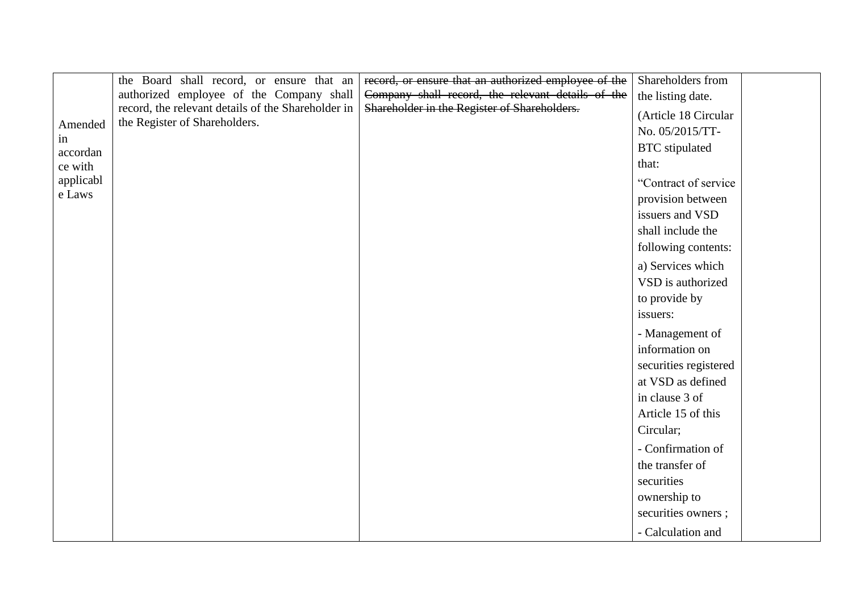|                | the Board shall record, or ensure that an          | record, or ensure that an authorized employee of the | Shareholders from     |
|----------------|----------------------------------------------------|------------------------------------------------------|-----------------------|
|                | authorized employee of the Company shall           | Company shall record, the relevant details of the    | the listing date.     |
|                | record, the relevant details of the Shareholder in | Shareholder in the Register of Shareholders.         | (Article 18 Circular  |
| Amended        | the Register of Shareholders.                      |                                                      | No. 05/2015/TT-       |
| in<br>accordan |                                                    |                                                      | <b>BTC</b> stipulated |
| ce with        |                                                    |                                                      | that:                 |
| applicabl      |                                                    |                                                      | "Contract of service  |
| e Laws         |                                                    |                                                      | provision between     |
|                |                                                    |                                                      | issuers and VSD       |
|                |                                                    |                                                      | shall include the     |
|                |                                                    |                                                      | following contents:   |
|                |                                                    |                                                      | a) Services which     |
|                |                                                    |                                                      | VSD is authorized     |
|                |                                                    |                                                      | to provide by         |
|                |                                                    |                                                      | issuers:              |
|                |                                                    |                                                      | - Management of       |
|                |                                                    |                                                      | information on        |
|                |                                                    |                                                      | securities registered |
|                |                                                    |                                                      | at VSD as defined     |
|                |                                                    |                                                      | in clause 3 of        |
|                |                                                    |                                                      | Article 15 of this    |
|                |                                                    |                                                      | Circular;             |
|                |                                                    |                                                      | - Confirmation of     |
|                |                                                    |                                                      | the transfer of       |
|                |                                                    |                                                      | securities            |
|                |                                                    |                                                      | ownership to          |
|                |                                                    |                                                      | securities owners;    |
|                |                                                    |                                                      |                       |
|                |                                                    |                                                      | - Calculation and     |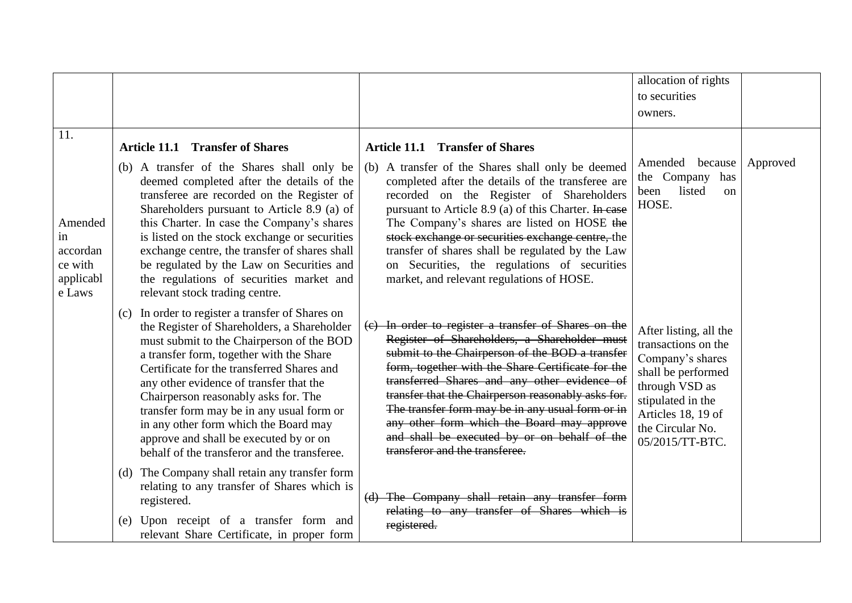|                                                             |                                                                                                                                                                                                                                                                                                                                                                                                                                                                                                           |                                                                                                                                                                                                                                                                                                                                                                                                                                                                                                        | allocation of rights                                                                                                                                                                        |          |
|-------------------------------------------------------------|-----------------------------------------------------------------------------------------------------------------------------------------------------------------------------------------------------------------------------------------------------------------------------------------------------------------------------------------------------------------------------------------------------------------------------------------------------------------------------------------------------------|--------------------------------------------------------------------------------------------------------------------------------------------------------------------------------------------------------------------------------------------------------------------------------------------------------------------------------------------------------------------------------------------------------------------------------------------------------------------------------------------------------|---------------------------------------------------------------------------------------------------------------------------------------------------------------------------------------------|----------|
|                                                             |                                                                                                                                                                                                                                                                                                                                                                                                                                                                                                           |                                                                                                                                                                                                                                                                                                                                                                                                                                                                                                        | to securities                                                                                                                                                                               |          |
|                                                             |                                                                                                                                                                                                                                                                                                                                                                                                                                                                                                           |                                                                                                                                                                                                                                                                                                                                                                                                                                                                                                        | owners.                                                                                                                                                                                     |          |
| 11.                                                         | <b>Article 11.1 Transfer of Shares</b>                                                                                                                                                                                                                                                                                                                                                                                                                                                                    | <b>Article 11.1 Transfer of Shares</b>                                                                                                                                                                                                                                                                                                                                                                                                                                                                 |                                                                                                                                                                                             |          |
| Amended<br>in<br>accordan<br>ce with<br>applicabl<br>e Laws | (b) A transfer of the Shares shall only be<br>deemed completed after the details of the<br>transferee are recorded on the Register of<br>Shareholders pursuant to Article 8.9 (a) of<br>this Charter. In case the Company's shares<br>is listed on the stock exchange or securities<br>exchange centre, the transfer of shares shall<br>be regulated by the Law on Securities and<br>the regulations of securities market and<br>relevant stock trading centre.                                           | (b) A transfer of the Shares shall only be deemed<br>completed after the details of the transferee are<br>recorded on the Register of Shareholders<br>pursuant to Article 8.9 (a) of this Charter. In case<br>The Company's shares are listed on HOSE the<br>stock exchange or securities exchange centre, the<br>transfer of shares shall be regulated by the Law<br>on Securities, the regulations of securities<br>market, and relevant regulations of HOSE.                                        | Amended because<br>the Company<br>has<br>listed<br>been<br><sub>on</sub><br>HOSE.                                                                                                           | Approved |
|                                                             | (c) In order to register a transfer of Shares on<br>the Register of Shareholders, a Shareholder<br>must submit to the Chairperson of the BOD<br>a transfer form, together with the Share<br>Certificate for the transferred Shares and<br>any other evidence of transfer that the<br>Chairperson reasonably asks for. The<br>transfer form may be in any usual form or<br>in any other form which the Board may<br>approve and shall be executed by or on<br>behalf of the transferor and the transferee. | (c) In order to register a transfer of Shares on the<br>Register of Shareholders, a Shareholder must<br>submit to the Chairperson of the BOD a transfer<br>form, together with the Share Certificate for the<br>transferred Shares and any other evidence of<br>transfer that the Chairperson reasonably asks for.<br>The transfer form may be in any usual form or in<br>any other form which the Board may approve<br>and shall be executed by or on behalf of the<br>transferor and the transferee. | After listing, all the<br>transactions on the<br>Company's shares<br>shall be performed<br>through VSD as<br>stipulated in the<br>Articles 18, 19 of<br>the Circular No.<br>05/2015/TT-BTC. |          |
|                                                             | (d) The Company shall retain any transfer form<br>relating to any transfer of Shares which is<br>registered.<br>(e) Upon receipt of a transfer form and<br>relevant Share Certificate, in proper form                                                                                                                                                                                                                                                                                                     | (d) The Company shall retain any transfer form<br>relating to any transfer of Shares which is<br>registered.                                                                                                                                                                                                                                                                                                                                                                                           |                                                                                                                                                                                             |          |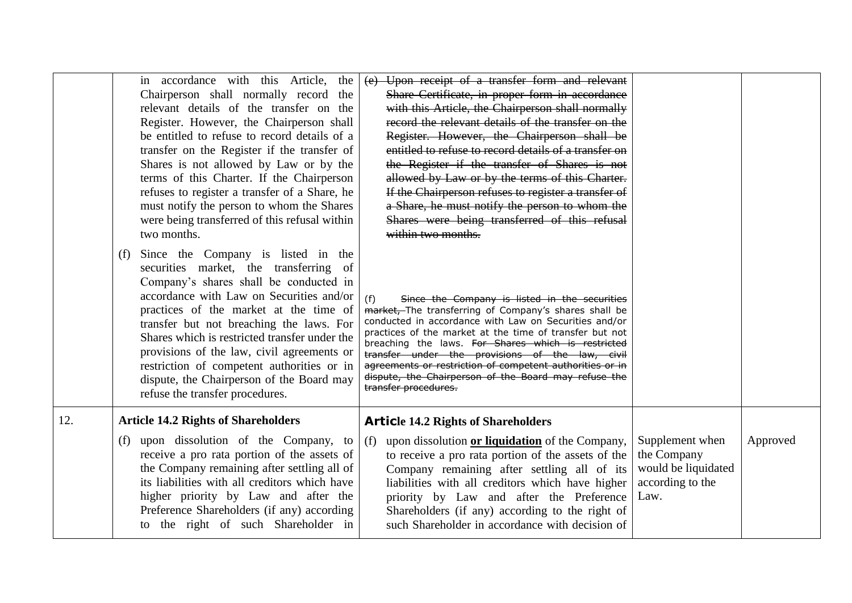|     | in accordance with this Article,<br>the<br>Chairperson shall normally record<br>the<br>relevant details of the transfer on the<br>Register. However, the Chairperson shall<br>be entitled to refuse to record details of a<br>transfer on the Register if the transfer of<br>Shares is not allowed by Law or by the<br>terms of this Charter. If the Chairperson<br>refuses to register a transfer of a Share, he<br>must notify the person to whom the Shares<br>were being transferred of this refusal within<br>two months. | (e) Upon receipt of a transfer form and relevant<br>Share Certificate, in proper form in accordance<br>with this Article, the Chairperson shall normally<br>record the relevant details of the transfer on the<br>Register. However, the Chairperson shall be<br>entitled to refuse to record details of a transfer on<br>the Register if the transfer of Shares is not<br>allowed by Law or by the terms of this Charter.<br>If the Chairperson refuses to register a transfer of<br>a Share, he must notify the person to whom the<br>Shares were being transferred of this refusal<br>within two months. |                                                                                   |          |
|-----|--------------------------------------------------------------------------------------------------------------------------------------------------------------------------------------------------------------------------------------------------------------------------------------------------------------------------------------------------------------------------------------------------------------------------------------------------------------------------------------------------------------------------------|-------------------------------------------------------------------------------------------------------------------------------------------------------------------------------------------------------------------------------------------------------------------------------------------------------------------------------------------------------------------------------------------------------------------------------------------------------------------------------------------------------------------------------------------------------------------------------------------------------------|-----------------------------------------------------------------------------------|----------|
|     | Since the Company is listed in the<br>(f)<br>securities market, the transferring<br>- of<br>Company's shares shall be conducted in<br>accordance with Law on Securities and/or<br>practices of the market at the time of<br>transfer but not breaching the laws. For<br>Shares which is restricted transfer under the<br>provisions of the law, civil agreements or<br>restriction of competent authorities or in<br>dispute, the Chairperson of the Board may<br>refuse the transfer procedures.                              | (f)<br>Since the Company is listed in the securities<br>market, The transferring of Company's shares shall be<br>conducted in accordance with Law on Securities and/or<br>practices of the market at the time of transfer but not<br>breaching the laws. For Shares which is restricted<br>transfer under the provisions of the law, civil<br>agreements or restriction of competent authorities or in<br>dispute, the Chairperson of the Board may refuse the<br>transfer procedures.                                                                                                                      |                                                                                   |          |
| 12. | <b>Article 14.2 Rights of Shareholders</b>                                                                                                                                                                                                                                                                                                                                                                                                                                                                                     | <b>Article 14.2 Rights of Shareholders</b>                                                                                                                                                                                                                                                                                                                                                                                                                                                                                                                                                                  |                                                                                   |          |
|     | upon dissolution of the Company, to<br>(f)<br>receive a pro rata portion of the assets of<br>the Company remaining after settling all of<br>its liabilities with all creditors which have<br>higher priority by Law and after the<br>Preference Shareholders (if any) according<br>to the right of such Shareholder in                                                                                                                                                                                                         | upon dissolution or liquidation of the Company,<br>(f)<br>to receive a pro rata portion of the assets of the<br>Company remaining after settling all of its<br>liabilities with all creditors which have higher<br>priority by Law and after the Preference<br>Shareholders (if any) according to the right of<br>such Shareholder in accordance with decision of                                                                                                                                                                                                                                           | Supplement when<br>the Company<br>would be liquidated<br>according to the<br>Law. | Approved |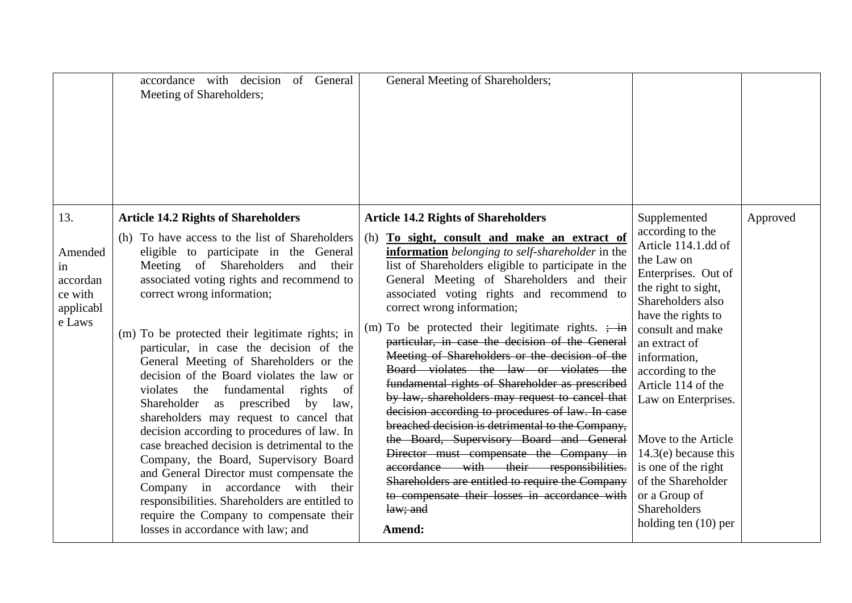|                                                                    | accordance with decision of General<br>Meeting of Shareholders;                                                                                                                                                                                                                                                                                                                                                                                                                                                                                                                                                                                                                                                                                                                                                                                                                                                                                   | General Meeting of Shareholders;                                                                                                                                                                                                                                                                                                                                                                                                                                                                                                                                                                                                                                                                                                                                                                                                                                                                                                                                                                                         |                                                                                                                                                                                                                                                                                                                                                                                                                                             |          |
|--------------------------------------------------------------------|---------------------------------------------------------------------------------------------------------------------------------------------------------------------------------------------------------------------------------------------------------------------------------------------------------------------------------------------------------------------------------------------------------------------------------------------------------------------------------------------------------------------------------------------------------------------------------------------------------------------------------------------------------------------------------------------------------------------------------------------------------------------------------------------------------------------------------------------------------------------------------------------------------------------------------------------------|--------------------------------------------------------------------------------------------------------------------------------------------------------------------------------------------------------------------------------------------------------------------------------------------------------------------------------------------------------------------------------------------------------------------------------------------------------------------------------------------------------------------------------------------------------------------------------------------------------------------------------------------------------------------------------------------------------------------------------------------------------------------------------------------------------------------------------------------------------------------------------------------------------------------------------------------------------------------------------------------------------------------------|---------------------------------------------------------------------------------------------------------------------------------------------------------------------------------------------------------------------------------------------------------------------------------------------------------------------------------------------------------------------------------------------------------------------------------------------|----------|
| 13.<br>Amended<br>1n<br>accordan<br>ce with<br>applicabl<br>e Laws | <b>Article 14.2 Rights of Shareholders</b><br>(h) To have access to the list of Shareholders<br>eligible to participate in the General<br>Meeting of Shareholders and<br>their<br>associated voting rights and recommend to<br>correct wrong information;<br>(m) To be protected their legitimate rights; in<br>particular, in case the decision of the<br>General Meeting of Shareholders or the<br>decision of the Board violates the law or<br>violates<br>fundamental<br>the<br>rights<br>of<br>Shareholder as prescribed<br>by<br>law,<br>shareholders may request to cancel that<br>decision according to procedures of law. In<br>case breached decision is detrimental to the<br>Company, the Board, Supervisory Board<br>and General Director must compensate the<br>Company in accordance with their<br>responsibilities. Shareholders are entitled to<br>require the Company to compensate their<br>losses in accordance with law; and | <b>Article 14.2 Rights of Shareholders</b><br>(h) To sight, consult and make an extract of<br>information belonging to self-shareholder in the<br>list of Shareholders eligible to participate in the<br>General Meeting of Shareholders and their<br>associated voting rights and recommend to<br>correct wrong information;<br>(m) To be protected their legitimate rights. $\frac{1}{2}$ in<br>particular, in case the decision of the General<br>Meeting of Shareholders or the decision of the<br>Board violates the law or violates the<br>fundamental rights of Shareholder as prescribed<br>by law, shareholders may request to cancel that<br>decision according to procedures of law. In case<br>breached decision is detrimental to the Company,<br>the Board, Supervisory Board and General<br>Director must compensate the Company in<br>accordance with their responsibilities.<br>Shareholders are entitled to require the Company<br>to compensate their losses in accordance with<br>law; and<br>Amend: | Supplemented<br>according to the<br>Article 114.1.dd of<br>the Law on<br>Enterprises. Out of<br>the right to sight,<br>Shareholders also<br>have the rights to<br>consult and make<br>an extract of<br>information,<br>according to the<br>Article 114 of the<br>Law on Enterprises.<br>Move to the Article<br>$14.3(e)$ because this<br>is one of the right<br>of the Shareholder<br>or a Group of<br>Shareholders<br>holding ten (10) per | Approved |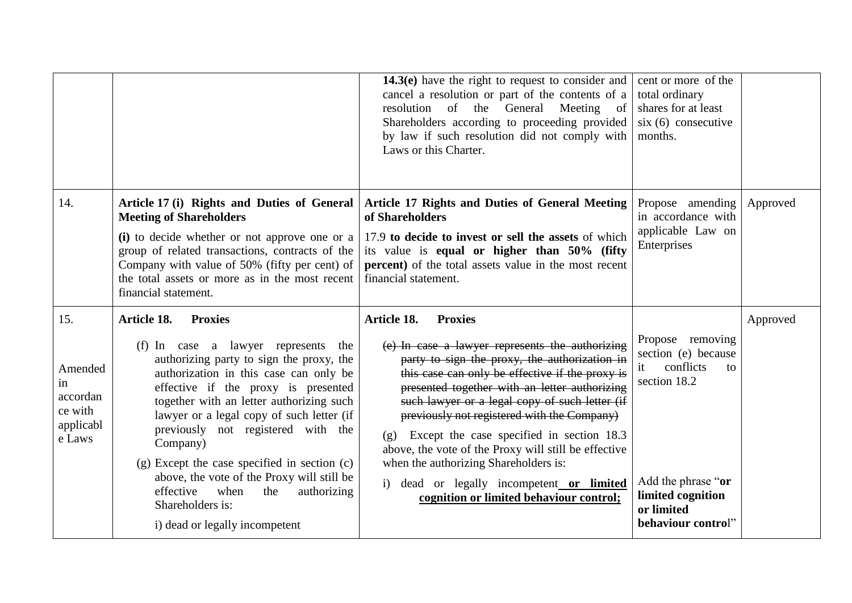|                                                                    |                                                                                                                                                                                                                                                                                                                                                                                                                                                                                                                                                | 14.3(e) have the right to request to consider and<br>cancel a resolution or part of the contents of a<br>resolution<br>of the General<br>Meeting<br>of<br>Shareholders according to proceeding provided<br>by law if such resolution did not comply with<br>Laws or this Charter.                                                                                                                                                                                                                                                                                                | cent or more of the<br>total ordinary<br>shares for at least<br>$s$ ix (6) consecutive<br>months.                                                               |          |
|--------------------------------------------------------------------|------------------------------------------------------------------------------------------------------------------------------------------------------------------------------------------------------------------------------------------------------------------------------------------------------------------------------------------------------------------------------------------------------------------------------------------------------------------------------------------------------------------------------------------------|----------------------------------------------------------------------------------------------------------------------------------------------------------------------------------------------------------------------------------------------------------------------------------------------------------------------------------------------------------------------------------------------------------------------------------------------------------------------------------------------------------------------------------------------------------------------------------|-----------------------------------------------------------------------------------------------------------------------------------------------------------------|----------|
| 14.                                                                | Article 17 (i) Rights and Duties of General<br><b>Meeting of Shareholders</b><br>(i) to decide whether or not approve one or a<br>group of related transactions, contracts of the<br>Company with value of 50% (fifty per cent) of<br>the total assets or more as in the most recent<br>financial statement.                                                                                                                                                                                                                                   | <b>Article 17 Rights and Duties of General Meeting</b><br>of Shareholders<br>17.9 to decide to invest or sell the assets of which<br>its value is equal or higher than 50% (fifty<br>percent) of the total assets value in the most recent<br>financial statement.                                                                                                                                                                                                                                                                                                               | Propose amending<br>in accordance with<br>applicable Law on<br>Enterprises                                                                                      | Approved |
| 15.<br>Amended<br>in<br>accordan<br>ce with<br>applicabl<br>e Laws | Article 18.<br><b>Proxies</b><br>(f) In case a lawyer represents<br>the<br>authorizing party to sign the proxy, the<br>authorization in this case can only be<br>effective if the proxy is presented<br>together with an letter authorizing such<br>lawyer or a legal copy of such letter (if<br>previously not registered with the<br>Company)<br>(g) Except the case specified in section (c)<br>above, the vote of the Proxy will still be<br>effective<br>when<br>authorizing<br>the<br>Shareholders is:<br>i) dead or legally incompetent | Article 18.<br><b>Proxies</b><br>(e) In case a lawyer represents the authorizing<br>party to sign the proxy, the authorization in<br>this case can only be effective if the proxy is<br>presented together with an letter authorizing<br>such lawyer or a legal copy of such letter (if<br>previously not registered with the Company)<br>(g) Except the case specified in section 18.3<br>above, the vote of the Proxy will still be effective<br>when the authorizing Shareholders is:<br>i) dead or legally incompetent or limited<br>cognition or limited behaviour control; | Propose removing<br>section (e) because<br>conflicts<br>it<br>to<br>section 18.2<br>Add the phrase "or<br>limited cognition<br>or limited<br>behaviour control" | Approved |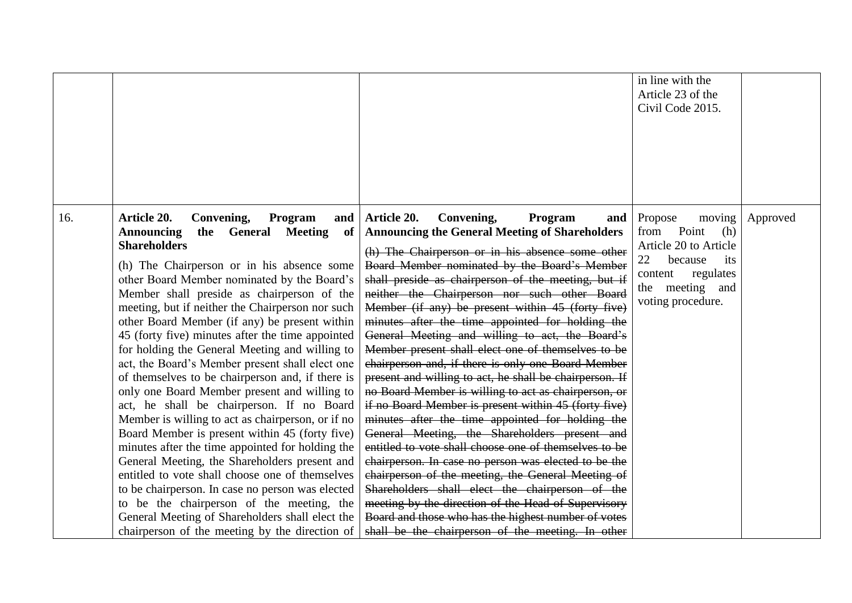|                                                                                                                                                                                                                                                                                                                                                                                                                                                                                                                                                                                                                                                                                                                                                                                                                                                                                                                                                                                                                                                                                                                            |                                                                     |                                                                                                                                                                                                                                                                                                                                                                                                                                                                                                                                                                                                                                                                                                                                                                                                                                                                                                                                                                                                                                                                                                                                                                                                                                                                             | in line with the<br>Article 23 of the<br>Civil Code 2015.                                                              |          |
|----------------------------------------------------------------------------------------------------------------------------------------------------------------------------------------------------------------------------------------------------------------------------------------------------------------------------------------------------------------------------------------------------------------------------------------------------------------------------------------------------------------------------------------------------------------------------------------------------------------------------------------------------------------------------------------------------------------------------------------------------------------------------------------------------------------------------------------------------------------------------------------------------------------------------------------------------------------------------------------------------------------------------------------------------------------------------------------------------------------------------|---------------------------------------------------------------------|-----------------------------------------------------------------------------------------------------------------------------------------------------------------------------------------------------------------------------------------------------------------------------------------------------------------------------------------------------------------------------------------------------------------------------------------------------------------------------------------------------------------------------------------------------------------------------------------------------------------------------------------------------------------------------------------------------------------------------------------------------------------------------------------------------------------------------------------------------------------------------------------------------------------------------------------------------------------------------------------------------------------------------------------------------------------------------------------------------------------------------------------------------------------------------------------------------------------------------------------------------------------------------|------------------------------------------------------------------------------------------------------------------------|----------|
| 16.<br>Article 20.<br>Convening,<br><b>Announcing</b><br>the General<br><b>Shareholders</b><br>(h) The Chairperson or in his absence some<br>other Board Member nominated by the Board's<br>Member shall preside as chairperson of the<br>meeting, but if neither the Chairperson nor such<br>other Board Member (if any) be present within<br>45 (forty five) minutes after the time appointed<br>for holding the General Meeting and willing to<br>act, the Board's Member present shall elect one<br>of themselves to be chairperson and, if there is<br>only one Board Member present and willing to<br>act, he shall be chairperson. If no Board<br>Member is willing to act as chairperson, or if no<br>Board Member is present within 45 (forty five)<br>minutes after the time appointed for holding the<br>General Meeting, the Shareholders present and<br>entitled to vote shall choose one of themselves<br>to be chairperson. In case no person was elected<br>to be the chairperson of the meeting, the<br>General Meeting of Shareholders shall elect the<br>chairperson of the meeting by the direction of | Article 20.<br>Convening,<br>Program<br>and<br><b>Meeting</b><br>of | Program<br>Propose<br>and<br><b>Announcing the General Meeting of Shareholders</b><br>from<br>(h) The Chairperson or in his absence some other<br>22<br>Board Member nominated by the Board's Member<br>content<br>shall preside as chairperson of the meeting, but if<br>neither the Chairperson nor such other Board<br>Member (if any) be present within 45 (forty five)<br>minutes after the time appointed for holding the<br>General Meeting and willing to act, the Board's<br>Member present shall elect one of themselves to be<br>chairperson and, if there is only one Board Member<br>present and willing to act, he shall be chairperson. If<br>no Board Member is willing to act as chairperson, or<br>if no Board Member is present within 45 (forty five)<br>minutes after the time appointed for holding the<br>General Meeting, the Shareholders present and<br>entitled to vote shall choose one of themselves to be<br>chairperson. In case no person was elected to be the<br>chairperson of the meeting, the General Meeting of<br>Shareholders shall elect the chairperson of the<br>meeting by the direction of the Head of Supervisory<br>Board and those who has the highest number of votes<br>shall be the chairperson of the meeting. In other | moving<br>Point<br>(h)<br>Article 20 to Article<br>because<br>its<br>regulates<br>the meeting and<br>voting procedure. | Approved |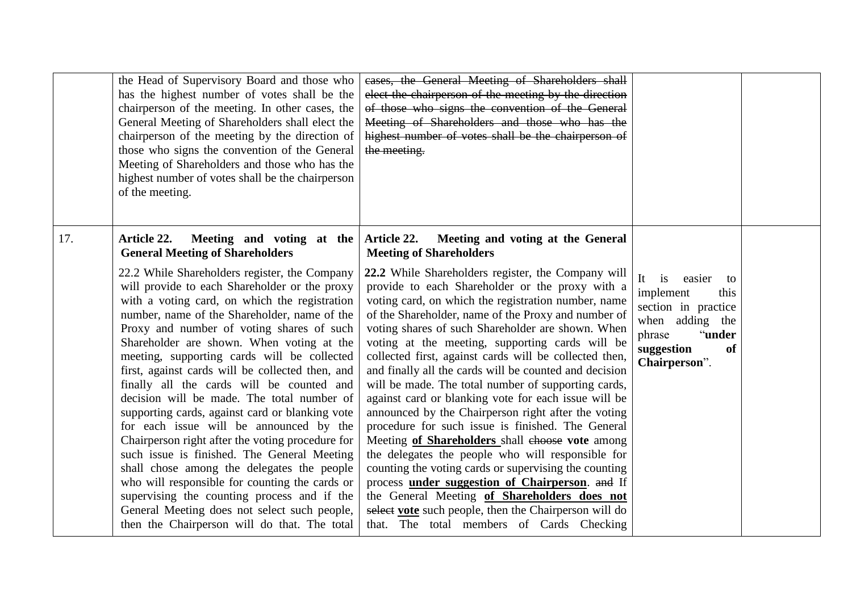|     | the Head of Supervisory Board and those who<br>has the highest number of votes shall be the<br>chairperson of the meeting. In other cases, the<br>General Meeting of Shareholders shall elect the<br>chairperson of the meeting by the direction of<br>those who signs the convention of the General<br>Meeting of Shareholders and those who has the<br>highest number of votes shall be the chairperson<br>of the meeting.                                                                                                                                                                                                                                                                                                                                                                                                                                                                                                                                                                                                  | cases, the General Meeting of Shareholders shall<br>elect the chairperson of the meeting by the direction<br>of those who signs the convention of the General<br>Meeting of Shareholders and those who has the<br>highest number of votes shall be the chairperson of<br>the meeting.                                                                                                                                                                                                                                                                                                                                                                                                                                                                                                                                                                                                                                                                                                                                                                                                                                                             |                                                                                                                                                  |  |
|-----|-------------------------------------------------------------------------------------------------------------------------------------------------------------------------------------------------------------------------------------------------------------------------------------------------------------------------------------------------------------------------------------------------------------------------------------------------------------------------------------------------------------------------------------------------------------------------------------------------------------------------------------------------------------------------------------------------------------------------------------------------------------------------------------------------------------------------------------------------------------------------------------------------------------------------------------------------------------------------------------------------------------------------------|---------------------------------------------------------------------------------------------------------------------------------------------------------------------------------------------------------------------------------------------------------------------------------------------------------------------------------------------------------------------------------------------------------------------------------------------------------------------------------------------------------------------------------------------------------------------------------------------------------------------------------------------------------------------------------------------------------------------------------------------------------------------------------------------------------------------------------------------------------------------------------------------------------------------------------------------------------------------------------------------------------------------------------------------------------------------------------------------------------------------------------------------------|--------------------------------------------------------------------------------------------------------------------------------------------------|--|
| 17. | Article 22.<br>Meeting and voting at the<br><b>General Meeting of Shareholders</b><br>22.2 While Shareholders register, the Company<br>will provide to each Shareholder or the proxy<br>with a voting card, on which the registration<br>number, name of the Shareholder, name of the<br>Proxy and number of voting shares of such<br>Shareholder are shown. When voting at the<br>meeting, supporting cards will be collected<br>first, against cards will be collected then, and<br>finally all the cards will be counted and<br>decision will be made. The total number of<br>supporting cards, against card or blanking vote<br>for each issue will be announced by the<br>Chairperson right after the voting procedure for<br>such issue is finished. The General Meeting<br>shall chose among the delegates the people<br>who will responsible for counting the cards or<br>supervising the counting process and if the<br>General Meeting does not select such people,<br>then the Chairperson will do that. The total | <b>Article 22.</b><br>Meeting and voting at the General<br><b>Meeting of Shareholders</b><br>22.2 While Shareholders register, the Company will<br>provide to each Shareholder or the proxy with a<br>voting card, on which the registration number, name<br>of the Shareholder, name of the Proxy and number of<br>voting shares of such Shareholder are shown. When<br>voting at the meeting, supporting cards will be<br>collected first, against cards will be collected then,<br>and finally all the cards will be counted and decision<br>will be made. The total number of supporting cards,<br>against card or blanking vote for each issue will be<br>announced by the Chairperson right after the voting<br>procedure for such issue is finished. The General<br>Meeting of Shareholders shall ehoose vote among<br>the delegates the people who will responsible for<br>counting the voting cards or supervising the counting<br>process under suggestion of Chairperson. and If<br>the General Meeting of Shareholders does not<br>select vote such people, then the Chairperson will do<br>that. The total members of Cards Checking | It<br>easier<br>is<br>to<br>implement<br>this<br>section in practice<br>when adding the<br>phrase<br>"under<br>suggestion<br>of<br>Chairperson". |  |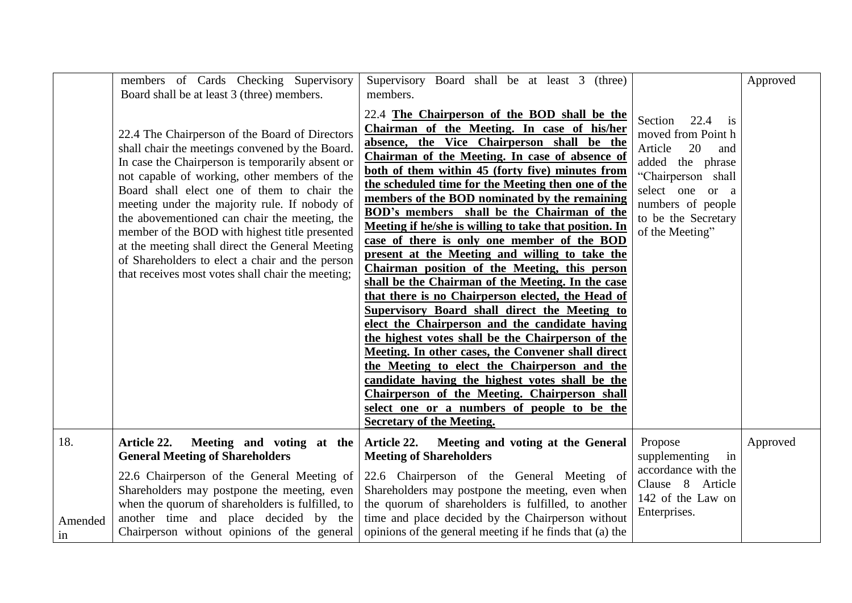|               | members of Cards Checking Supervisory<br>Board shall be at least 3 (three) members.                                                                                                                                                                                                                                                                                                                                                                                                                                                                                | Supervisory Board shall be at least 3 (three)<br>members.                                                                                                                                                                                                                                                                                                                                                                                                                                                                                                                                                                                                                                                                                                                                                                                                                                                                                                                                                                                                                                                                                                                                     |                                                                                                                                                                                                             | Approved |
|---------------|--------------------------------------------------------------------------------------------------------------------------------------------------------------------------------------------------------------------------------------------------------------------------------------------------------------------------------------------------------------------------------------------------------------------------------------------------------------------------------------------------------------------------------------------------------------------|-----------------------------------------------------------------------------------------------------------------------------------------------------------------------------------------------------------------------------------------------------------------------------------------------------------------------------------------------------------------------------------------------------------------------------------------------------------------------------------------------------------------------------------------------------------------------------------------------------------------------------------------------------------------------------------------------------------------------------------------------------------------------------------------------------------------------------------------------------------------------------------------------------------------------------------------------------------------------------------------------------------------------------------------------------------------------------------------------------------------------------------------------------------------------------------------------|-------------------------------------------------------------------------------------------------------------------------------------------------------------------------------------------------------------|----------|
|               | 22.4 The Chairperson of the Board of Directors<br>shall chair the meetings convened by the Board.<br>In case the Chairperson is temporarily absent or<br>not capable of working, other members of the<br>Board shall elect one of them to chair the<br>meeting under the majority rule. If nobody of<br>the abovementioned can chair the meeting, the<br>member of the BOD with highest title presented<br>at the meeting shall direct the General Meeting<br>of Shareholders to elect a chair and the person<br>that receives most votes shall chair the meeting; | 22.4 The Chairperson of the BOD shall be the<br>Chairman of the Meeting. In case of his/her<br>absence, the Vice Chairperson shall be the<br>Chairman of the Meeting. In case of absence of<br>both of them within 45 (forty five) minutes from<br>the scheduled time for the Meeting then one of the<br>members of the BOD nominated by the remaining<br><b>BOD's members</b> shall be the Chairman of the<br>Meeting if he/she is willing to take that position. In<br>case of there is only one member of the BOD<br>present at the Meeting and willing to take the<br>Chairman position of the Meeting, this person<br>shall be the Chairman of the Meeting. In the case<br>that there is no Chairperson elected, the Head of<br><b>Supervisory Board shall direct the Meeting to</b><br>elect the Chairperson and the candidate having<br>the highest votes shall be the Chairperson of the<br>Meeting. In other cases, the Convener shall direct<br>the Meeting to elect the Chairperson and the<br>candidate having the highest votes shall be the<br>Chairperson of the Meeting. Chairperson shall<br>select one or a numbers of people to be the<br><b>Secretary of the Meeting.</b> | Section<br>22.4<br>$\overline{1}$<br>moved from Point h<br>Article<br>20<br>and<br>added the phrase<br>"Chairperson shall<br>select one or a<br>numbers of people<br>to be the Secretary<br>of the Meeting" |          |
| 18.           | Article 22.<br>Meeting and voting at the<br><b>General Meeting of Shareholders</b>                                                                                                                                                                                                                                                                                                                                                                                                                                                                                 | Article 22. Meeting and voting at the General<br><b>Meeting of Shareholders</b>                                                                                                                                                                                                                                                                                                                                                                                                                                                                                                                                                                                                                                                                                                                                                                                                                                                                                                                                                                                                                                                                                                               | Propose<br>supplementing<br>in                                                                                                                                                                              | Approved |
| Amended<br>1n | 22.6 Chairperson of the General Meeting of<br>Shareholders may postpone the meeting, even<br>when the quorum of shareholders is fulfilled, to<br>another time and place decided by the<br>Chairperson without opinions of the general                                                                                                                                                                                                                                                                                                                              | 22.6 Chairperson of the General Meeting of<br>Shareholders may postpone the meeting, even when<br>the quorum of shareholders is fulfilled, to another<br>time and place decided by the Chairperson without<br>opinions of the general meeting if he finds that (a) the                                                                                                                                                                                                                                                                                                                                                                                                                                                                                                                                                                                                                                                                                                                                                                                                                                                                                                                        | accordance with the<br>Clause 8 Article<br>142 of the Law on<br>Enterprises.                                                                                                                                |          |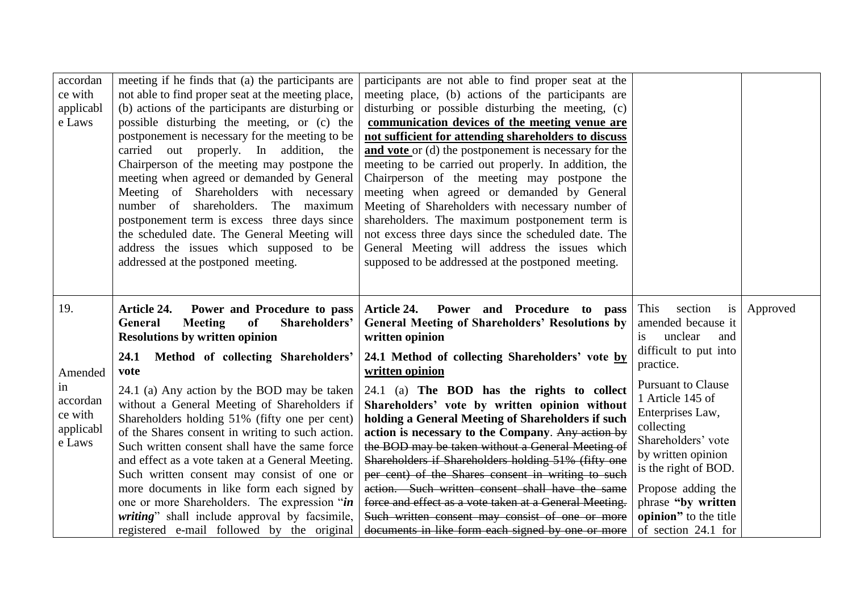| accordan<br>ce with<br>applicabl<br>e Laws       | meeting if he finds that (a) the participants are<br>not able to find proper seat at the meeting place,<br>(b) actions of the participants are disturbing or<br>possible disturbing the meeting, or (c) the<br>postponement is necessary for the meeting to be<br>carried out properly. In addition, the<br>Chairperson of the meeting may postpone the<br>meeting when agreed or demanded by General<br>Meeting of Shareholders with necessary<br>number of shareholders.<br>The maximum<br>postponement term is excess three days since<br>the scheduled date. The General Meeting will<br>address the issues which supposed to be<br>addressed at the postponed meeting. | participants are not able to find proper seat at the<br>meeting place, (b) actions of the participants are<br>disturbing or possible disturbing the meeting, (c)<br>communication devices of the meeting venue are<br>not sufficient for attending shareholders to discuss<br>and vote or (d) the postponement is necessary for the<br>meeting to be carried out properly. In addition, the<br>Chairperson of the meeting may postpone the<br>meeting when agreed or demanded by General<br>Meeting of Shareholders with necessary number of<br>shareholders. The maximum postponement term is<br>not excess three days since the scheduled date. The<br>General Meeting will address the issues which<br>supposed to be addressed at the postponed meeting. |                                                                                                                                                                                                                                                 |          |
|--------------------------------------------------|-----------------------------------------------------------------------------------------------------------------------------------------------------------------------------------------------------------------------------------------------------------------------------------------------------------------------------------------------------------------------------------------------------------------------------------------------------------------------------------------------------------------------------------------------------------------------------------------------------------------------------------------------------------------------------|--------------------------------------------------------------------------------------------------------------------------------------------------------------------------------------------------------------------------------------------------------------------------------------------------------------------------------------------------------------------------------------------------------------------------------------------------------------------------------------------------------------------------------------------------------------------------------------------------------------------------------------------------------------------------------------------------------------------------------------------------------------|-------------------------------------------------------------------------------------------------------------------------------------------------------------------------------------------------------------------------------------------------|----------|
| 19.                                              | <b>Article 24.</b><br>Power and Procedure to pass<br>General<br><b>Meeting</b><br>Shareholders'<br><sub>of</sub><br><b>Resolutions by written opinion</b>                                                                                                                                                                                                                                                                                                                                                                                                                                                                                                                   | <b>Article 24.</b><br>Power and Procedure to pass<br><b>General Meeting of Shareholders' Resolutions by</b><br>written opinion                                                                                                                                                                                                                                                                                                                                                                                                                                                                                                                                                                                                                               | This<br>section<br>is<br>amended because it<br>unclear<br>and<br>is.<br>difficult to put into                                                                                                                                                   | Approved |
| Amended                                          | Method of collecting Shareholders'<br>24.1<br>vote                                                                                                                                                                                                                                                                                                                                                                                                                                                                                                                                                                                                                          | 24.1 Method of collecting Shareholders' vote by<br>written opinion                                                                                                                                                                                                                                                                                                                                                                                                                                                                                                                                                                                                                                                                                           | practice.                                                                                                                                                                                                                                       |          |
| in<br>accordan<br>ce with<br>applicabl<br>e Laws | 24.1 (a) Any action by the BOD may be taken<br>without a General Meeting of Shareholders if<br>Shareholders holding 51% (fifty one per cent)<br>of the Shares consent in writing to such action.<br>Such written consent shall have the same force<br>and effect as a vote taken at a General Meeting.<br>Such written consent may consist of one or<br>more documents in like form each signed by<br>one or more Shareholders. The expression "in<br>writing" shall include approval by facsimile,<br>registered e-mail followed by the original                                                                                                                           | 24.1 (a) The BOD has the rights to collect<br>Shareholders' vote by written opinion without<br>holding a General Meeting of Shareholders if such<br>action is necessary to the Company. Any action by<br>the BOD may be taken without a General Meeting of<br>Shareholders if Shareholders holding 51% (fifty one<br>per cent) of the Shares consent in writing to such<br>action. Such written consent shall have the same<br>force and effect as a vote taken at a General Meeting.<br>Such written consent may consist of one or more<br>documents in like form each signed by one or more                                                                                                                                                                | <b>Pursuant to Clause</b><br>1 Article 145 of<br>Enterprises Law,<br>collecting<br>Shareholders' vote<br>by written opinion<br>is the right of BOD.<br>Propose adding the<br>phrase "by written<br>opinion" to the title<br>of section 24.1 for |          |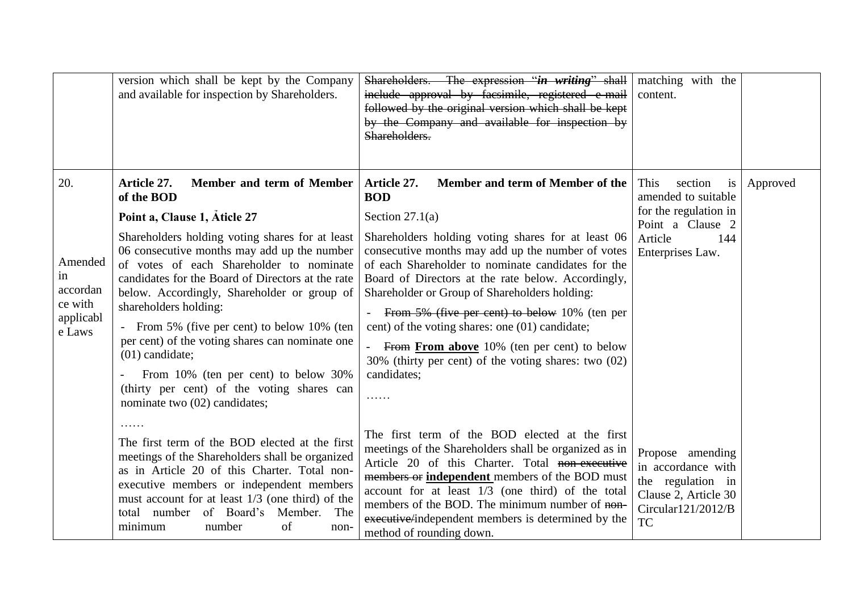|                                                                    | version which shall be kept by the Company<br>and available for inspection by Shareholders.                                                                                                                                                                                                                                                                                                                                                                                                                                                                                                                   | Shareholders. The expression "in writing" shall<br>include approval by facsimile, registered e-mail<br>followed by the original version which shall be kept<br>by the Company and available for inspection by<br>Shareholders.                                                                                                                                                                                                                                                                                                                                                       | matching with the<br>content.                                                                                                          |          |
|--------------------------------------------------------------------|---------------------------------------------------------------------------------------------------------------------------------------------------------------------------------------------------------------------------------------------------------------------------------------------------------------------------------------------------------------------------------------------------------------------------------------------------------------------------------------------------------------------------------------------------------------------------------------------------------------|--------------------------------------------------------------------------------------------------------------------------------------------------------------------------------------------------------------------------------------------------------------------------------------------------------------------------------------------------------------------------------------------------------------------------------------------------------------------------------------------------------------------------------------------------------------------------------------|----------------------------------------------------------------------------------------------------------------------------------------|----------|
| 20.<br>Amended<br>in<br>accordan<br>ce with<br>applicabl<br>e Laws | Member and term of Member<br>Article 27.<br>of the BOD<br>Point a, Clause 1, Aticle 27<br>Shareholders holding voting shares for at least<br>06 consecutive months may add up the number<br>of votes of each Shareholder to nominate<br>candidates for the Board of Directors at the rate<br>below. Accordingly, Shareholder or group of<br>shareholders holding:<br>From 5% (five per cent) to below 10% (ten<br>per cent) of the voting shares can nominate one<br>$(01)$ candidate;<br>From 10% (ten per cent) to below 30%<br>(thirty per cent) of the voting shares can<br>nominate two (02) candidates; | Article 27.<br>Member and term of Member of the<br><b>BOD</b><br>Section $27.1(a)$<br>Shareholders holding voting shares for at least 06<br>consecutive months may add up the number of votes<br>of each Shareholder to nominate candidates for the<br>Board of Directors at the rate below. Accordingly,<br>Shareholder or Group of Shareholders holding:<br>From 5% (five per cent) to below 10% (ten per<br>cent) of the voting shares: one (01) candidate;<br>From From above 10% (ten per cent) to below<br>30% (thirty per cent) of the voting shares: two (02)<br>candidates; | This<br>section<br><b>1S</b><br>amended to suitable<br>for the regulation in<br>Point a Clause 2<br>Article<br>144<br>Enterprises Law. | Approved |
|                                                                    | .<br>The first term of the BOD elected at the first<br>meetings of the Shareholders shall be organized<br>as in Article 20 of this Charter. Total non-<br>executive members or independent members<br>must account for at least $1/3$ (one third) of the<br>of Board's<br>Member.<br>The<br>total number<br>minimum<br>number<br>of<br>non-                                                                                                                                                                                                                                                                   | The first term of the BOD elected at the first<br>meetings of the Shareholders shall be organized as in<br>Article 20 of this Charter. Total non-executive<br>members or independent members of the BOD must<br>account for at least $1/3$ (one third) of the total<br>members of the BOD. The minimum number of non-<br>executive/independent members is determined by the<br>method of rounding down.                                                                                                                                                                              | Propose amending<br>in accordance with<br>the regulation in<br>Clause 2, Article 30<br>Circular121/2012/B<br><b>TC</b>                 |          |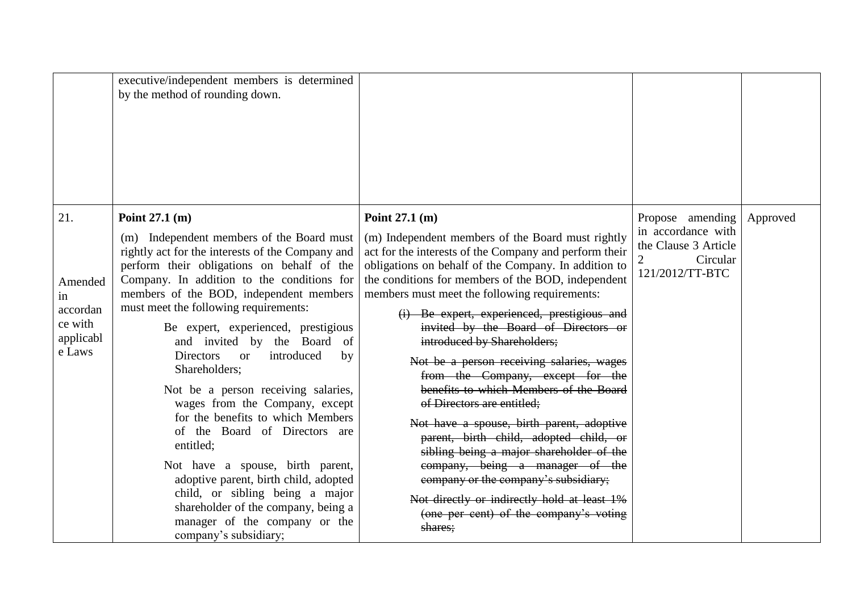|                | executive/independent members is determined                                              |                                                                                                            |                            |          |
|----------------|------------------------------------------------------------------------------------------|------------------------------------------------------------------------------------------------------------|----------------------------|----------|
|                | by the method of rounding down.                                                          |                                                                                                            |                            |          |
|                |                                                                                          |                                                                                                            |                            |          |
|                |                                                                                          |                                                                                                            |                            |          |
|                |                                                                                          |                                                                                                            |                            |          |
|                |                                                                                          |                                                                                                            |                            |          |
|                |                                                                                          |                                                                                                            |                            |          |
|                |                                                                                          |                                                                                                            |                            |          |
| 21.            | Point $27.1$ (m)                                                                         | Point $27.1$ (m)                                                                                           | Propose amending           | Approved |
|                |                                                                                          |                                                                                                            | in accordance with         |          |
|                | (m) Independent members of the Board must                                                | (m) Independent members of the Board must rightly                                                          | the Clause 3 Article       |          |
|                | rightly act for the interests of the Company and                                         | act for the interests of the Company and perform their                                                     | $\overline{2}$<br>Circular |          |
|                | perform their obligations on behalf of the<br>Company. In addition to the conditions for | obligations on behalf of the Company. In addition to<br>the conditions for members of the BOD, independent | 121/2012/TT-BTC            |          |
| Amended        | members of the BOD, independent members                                                  | members must meet the following requirements:                                                              |                            |          |
| in<br>accordan | must meet the following requirements:                                                    |                                                                                                            |                            |          |
| ce with        |                                                                                          | (i) Be expert, experienced, prestigious and                                                                |                            |          |
| applicabl      | Be expert, experienced, prestigious<br>and invited by the Board of                       | invited by the Board of Directors or<br>introduced by Shareholders;                                        |                            |          |
| e Laws         | introduced<br><b>Directors</b><br>by<br><b>or</b>                                        |                                                                                                            |                            |          |
|                | Shareholders;                                                                            | Not be a person receiving salaries, wages                                                                  |                            |          |
|                |                                                                                          | from the Company, except for the                                                                           |                            |          |
|                | Not be a person receiving salaries,                                                      | benefits to which Members of the Board<br>of Directors are entitled;                                       |                            |          |
|                | wages from the Company, except<br>for the benefits to which Members                      |                                                                                                            |                            |          |
|                | of the Board of Directors are                                                            | Not have a spouse, birth parent, adoptive                                                                  |                            |          |
|                | entitled;                                                                                | parent, birth child, adopted child, or                                                                     |                            |          |
|                |                                                                                          | sibling being a major shareholder of the                                                                   |                            |          |
|                | Not have a spouse, birth parent,<br>adoptive parent, birth child, adopted                | company, being a manager of the<br>company or the company's subsidiary;                                    |                            |          |
|                | child, or sibling being a major                                                          |                                                                                                            |                            |          |
|                | shareholder of the company, being a                                                      | Not directly or indirectly hold at least 1%                                                                |                            |          |
|                | manager of the company or the                                                            | (one per cent) of the company's voting                                                                     |                            |          |
|                | company's subsidiary;                                                                    | shares:                                                                                                    |                            |          |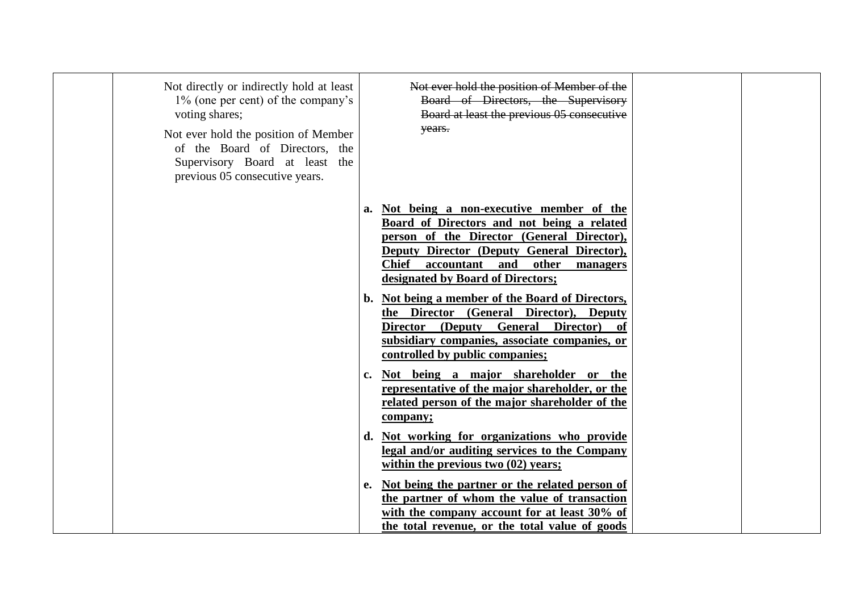| Not directly or indirectly hold at least<br>1% (one per cent) of the company's<br>voting shares;<br>Not ever hold the position of Member<br>of the Board of Directors, the<br>Supervisory Board at least the<br>previous 05 consecutive years. |    | Not ever hold the position of Member of the<br>Board of Directors, the Supervisory<br>Board at least the previous 05 consecutive<br>years.                                                                                                                                    |  |
|------------------------------------------------------------------------------------------------------------------------------------------------------------------------------------------------------------------------------------------------|----|-------------------------------------------------------------------------------------------------------------------------------------------------------------------------------------------------------------------------------------------------------------------------------|--|
|                                                                                                                                                                                                                                                | a. | Not being a non-executive member of the<br>Board of Directors and not being a related<br>person of the Director (General Director),<br><b>Deputy Director (Deputy General Director),</b><br>other<br>Chief<br>accountant and<br>managers<br>designated by Board of Directors; |  |
|                                                                                                                                                                                                                                                | b. | Not being a member of the Board of Directors,<br>the Director (General Director), Deputy<br>(Deputy General Director)<br><b>Director</b><br>subsidiary companies, associate companies, or<br>controlled by public companies;                                                  |  |
|                                                                                                                                                                                                                                                | c. | Not being a major shareholder or the<br>representative of the major shareholder, or the<br>related person of the major shareholder of the<br>company;                                                                                                                         |  |
|                                                                                                                                                                                                                                                | d. | Not working for organizations who provide<br>legal and/or auditing services to the Company<br>within the previous two $(02)$ years;                                                                                                                                           |  |
|                                                                                                                                                                                                                                                | e. | Not being the partner or the related person of<br>the partner of whom the value of transaction<br>with the company account for at least 30% of<br>the total revenue, or the total value of goods                                                                              |  |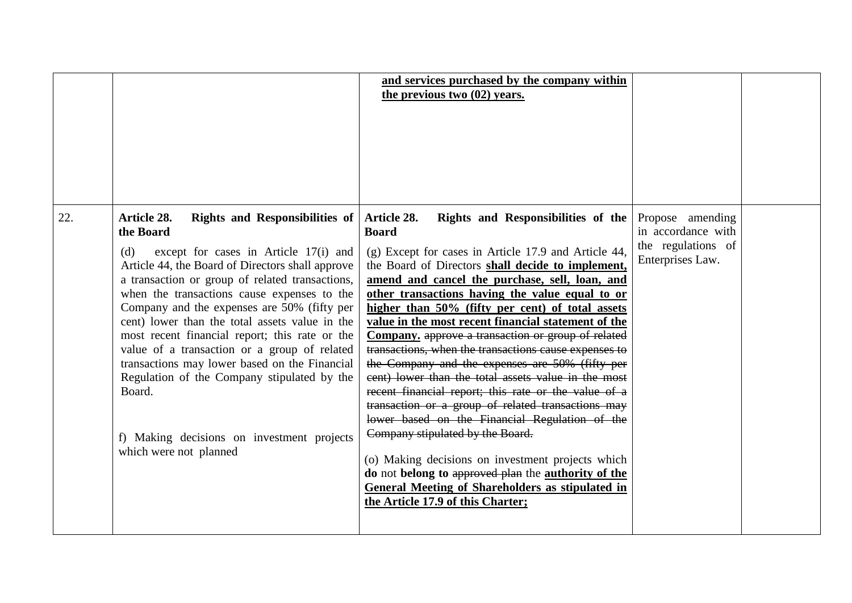|     |                                                                                                                                                                                                                                                                                                                                                                                                                                                                                                                                                                                                                                                              | and services purchased by the company within<br>the previous two (02) years.                                                                                                                                                                                                                                                                                                                                                                                                                                                                                                                                                                                                                                                                                                                                                                                                                                                                                                                                                            |                                                                                  |  |
|-----|--------------------------------------------------------------------------------------------------------------------------------------------------------------------------------------------------------------------------------------------------------------------------------------------------------------------------------------------------------------------------------------------------------------------------------------------------------------------------------------------------------------------------------------------------------------------------------------------------------------------------------------------------------------|-----------------------------------------------------------------------------------------------------------------------------------------------------------------------------------------------------------------------------------------------------------------------------------------------------------------------------------------------------------------------------------------------------------------------------------------------------------------------------------------------------------------------------------------------------------------------------------------------------------------------------------------------------------------------------------------------------------------------------------------------------------------------------------------------------------------------------------------------------------------------------------------------------------------------------------------------------------------------------------------------------------------------------------------|----------------------------------------------------------------------------------|--|
| 22. | Article 28.<br><b>Rights and Responsibilities of</b><br>the Board<br>except for cases in Article 17(i) and<br>(d)<br>Article 44, the Board of Directors shall approve<br>a transaction or group of related transactions,<br>when the transactions cause expenses to the<br>Company and the expenses are 50% (fifty per<br>cent) lower than the total assets value in the<br>most recent financial report; this rate or the<br>value of a transaction or a group of related<br>transactions may lower based on the Financial<br>Regulation of the Company stipulated by the<br>Board.<br>f) Making decisions on investment projects<br>which were not planned | Rights and Responsibilities of the<br>Article 28.<br><b>Board</b><br>(g) Except for cases in Article 17.9 and Article 44,<br>the Board of Directors shall decide to implement,<br>amend and cancel the purchase, sell, loan, and<br>other transactions having the value equal to or<br>higher than 50% (fifty per cent) of total assets<br>value in the most recent financial statement of the<br>Company, approve a transaction or group of related<br>transactions, when the transactions cause expenses to<br>the Company and the expenses are 50% (fifty per<br>eent) lower than the total assets value in the most<br>recent financial report; this rate or the value of a<br>transaction or a group of related transactions may<br>lower based on the Financial Regulation of the<br>Company stipulated by the Board.<br>(o) Making decisions on investment projects which<br>do not belong to approved plan the authority of the<br><b>General Meeting of Shareholders as stipulated in</b><br>the Article 17.9 of this Charter; | Propose amending<br>in accordance with<br>the regulations of<br>Enterprises Law. |  |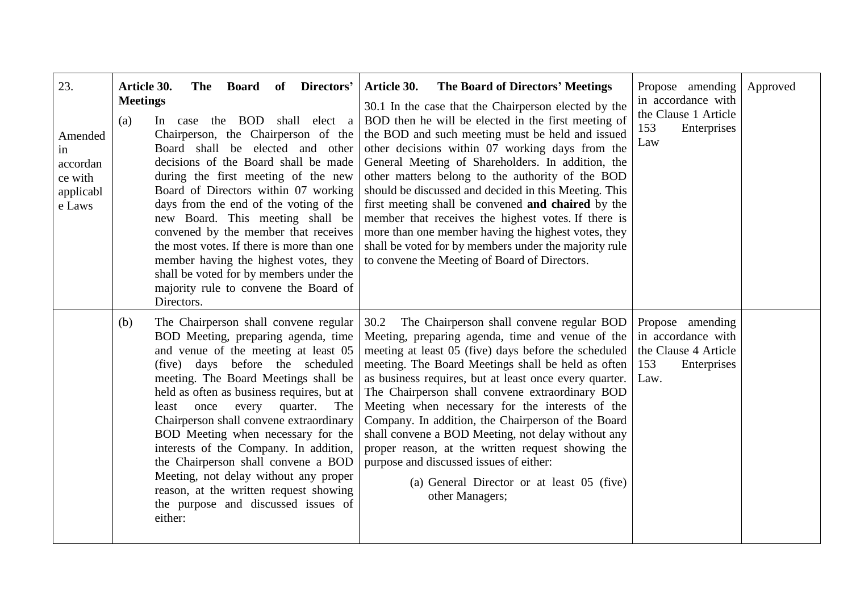| 23.<br>Amended<br>in<br>accordan<br>ce with<br>applicabl<br>e Laws | Article 30.<br><b>Board</b><br>of Directors'<br>The<br><b>Meetings</b><br>(a)<br>the BOD shall elect a<br>In case<br>Chairperson, the Chairperson of the<br>Board shall be elected and other<br>decisions of the Board shall be made<br>during the first meeting of the new<br>Board of Directors within 07 working<br>days from the end of the voting of the<br>new Board. This meeting shall be<br>convened by the member that receives<br>the most votes. If there is more than one<br>member having the highest votes, they<br>shall be voted for by members under the<br>majority rule to convene the Board of<br>Directors. | <b>The Board of Directors' Meetings</b><br><b>Article 30.</b><br>30.1 In the case that the Chairperson elected by the<br>BOD then he will be elected in the first meeting of<br>the BOD and such meeting must be held and issued<br>other decisions within 07 working days from the<br>General Meeting of Shareholders. In addition, the<br>other matters belong to the authority of the BOD<br>should be discussed and decided in this Meeting. This<br>first meeting shall be convened and chaired by the<br>member that receives the highest votes. If there is<br>more than one member having the highest votes, they<br>shall be voted for by members under the majority rule<br>to convene the Meeting of Board of Directors. | Propose amending<br>in accordance with<br>the Clause 1 Article<br>153<br>Enterprises<br>Law  | Approved |
|--------------------------------------------------------------------|-----------------------------------------------------------------------------------------------------------------------------------------------------------------------------------------------------------------------------------------------------------------------------------------------------------------------------------------------------------------------------------------------------------------------------------------------------------------------------------------------------------------------------------------------------------------------------------------------------------------------------------|-------------------------------------------------------------------------------------------------------------------------------------------------------------------------------------------------------------------------------------------------------------------------------------------------------------------------------------------------------------------------------------------------------------------------------------------------------------------------------------------------------------------------------------------------------------------------------------------------------------------------------------------------------------------------------------------------------------------------------------|----------------------------------------------------------------------------------------------|----------|
|                                                                    | The Chairperson shall convene regular<br>(b)<br>BOD Meeting, preparing agenda, time<br>and venue of the meeting at least 05<br>(five) days before the scheduled<br>meeting. The Board Meetings shall be<br>held as often as business requires, but at<br>every<br>quarter.<br>least<br>once<br>The<br>Chairperson shall convene extraordinary<br>BOD Meeting when necessary for the<br>interests of the Company. In addition,<br>the Chairperson shall convene a BOD<br>Meeting, not delay without any proper<br>reason, at the written request showing<br>the purpose and discussed issues of<br>either:                         | 30.2 The Chairperson shall convene regular BOD<br>Meeting, preparing agenda, time and venue of the<br>meeting at least 05 (five) days before the scheduled<br>meeting. The Board Meetings shall be held as often<br>as business requires, but at least once every quarter.<br>The Chairperson shall convene extraordinary BOD<br>Meeting when necessary for the interests of the<br>Company. In addition, the Chairperson of the Board<br>shall convene a BOD Meeting, not delay without any<br>proper reason, at the written request showing the<br>purpose and discussed issues of either:<br>(a) General Director or at least 05 (five)<br>other Managers;                                                                       | Propose amending<br>in accordance with<br>the Clause 4 Article<br>153<br>Enterprises<br>Law. |          |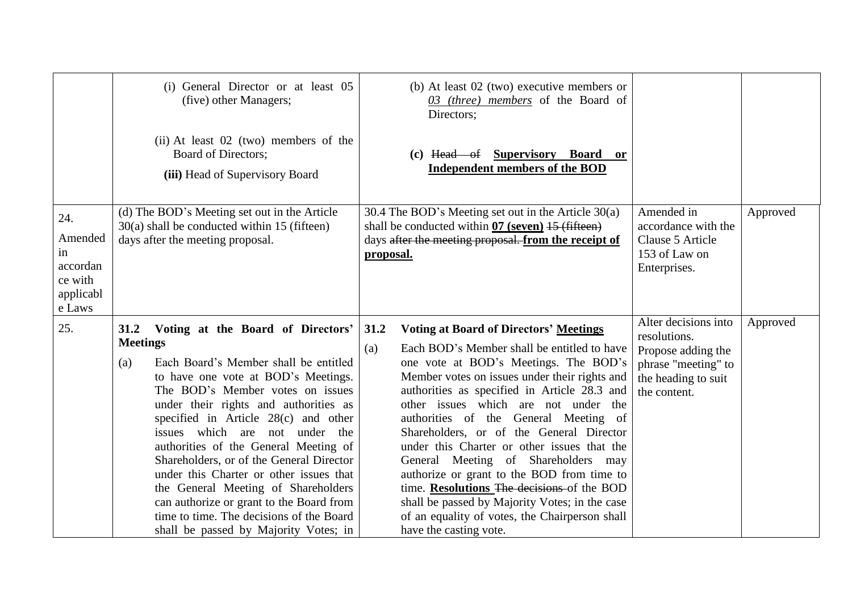|                                                                    | (i) General Director or at least 05<br>(five) other Managers;                                                                                                                                                                                                                                                                                                                                                                                                                                                                                                                                                      | (b) At least $02$ (two) executive members or<br>$\overline{03}$ (three) members of the Board of<br>Directors;                                                                                                                                                                                                                                                                                                                                                                                                                                                                                                                                                                                      |                                                                                                                          |          |
|--------------------------------------------------------------------|--------------------------------------------------------------------------------------------------------------------------------------------------------------------------------------------------------------------------------------------------------------------------------------------------------------------------------------------------------------------------------------------------------------------------------------------------------------------------------------------------------------------------------------------------------------------------------------------------------------------|----------------------------------------------------------------------------------------------------------------------------------------------------------------------------------------------------------------------------------------------------------------------------------------------------------------------------------------------------------------------------------------------------------------------------------------------------------------------------------------------------------------------------------------------------------------------------------------------------------------------------------------------------------------------------------------------------|--------------------------------------------------------------------------------------------------------------------------|----------|
|                                                                    | (ii) At least 02 (two) members of the<br>Board of Directors;<br>(iii) Head of Supervisory Board                                                                                                                                                                                                                                                                                                                                                                                                                                                                                                                    | (c) Head of Supervisory Board<br><b>or</b><br><b>Independent members of the BOD</b>                                                                                                                                                                                                                                                                                                                                                                                                                                                                                                                                                                                                                |                                                                                                                          |          |
| 24.<br>Amended<br>in<br>accordan<br>ce with<br>applicabl<br>e Laws | (d) The BOD's Meeting set out in the Article<br>$30(a)$ shall be conducted within 15 (fifteen)<br>days after the meeting proposal.                                                                                                                                                                                                                                                                                                                                                                                                                                                                                 | 30.4 The BOD's Meeting set out in the Article 30(a)<br>shall be conducted within $\frac{07}{2}$ (seven) $\frac{15}{2}$ (fifteen)<br>days after the meeting proposal. from the receipt of<br>proposal.                                                                                                                                                                                                                                                                                                                                                                                                                                                                                              | Amended in<br>accordance with the<br>Clause 5 Article<br>153 of Law on<br>Enterprises.                                   | Approved |
| 25.                                                                | Voting at the Board of Directors'<br>31.2<br><b>Meetings</b><br>Each Board's Member shall be entitled<br>(a)<br>to have one vote at BOD's Meetings.<br>The BOD's Member votes on issues<br>under their rights and authorities as<br>specified in Article 28(c) and other<br>issues which are not under the<br>authorities of the General Meeting of<br>Shareholders, or of the General Director<br>under this Charter or other issues that<br>the General Meeting of Shareholders<br>can authorize or grant to the Board from<br>time to time. The decisions of the Board<br>shall be passed by Majority Votes; in | 31.2<br><b>Voting at Board of Directors' Meetings</b><br>Each BOD's Member shall be entitled to have<br>(a)<br>one vote at BOD's Meetings. The BOD's<br>Member votes on issues under their rights and<br>authorities as specified in Article 28.3 and<br>other issues which are not under the<br>authorities of the General Meeting of<br>Shareholders, or of the General Director<br>under this Charter or other issues that the<br>General Meeting of Shareholders may<br>authorize or grant to the BOD from time to<br>time. Resolutions The decisions of the BOD<br>shall be passed by Majority Votes; in the case<br>of an equality of votes, the Chairperson shall<br>have the casting vote. | Alter decisions into<br>resolutions.<br>Propose adding the<br>phrase "meeting" to<br>the heading to suit<br>the content. | Approved |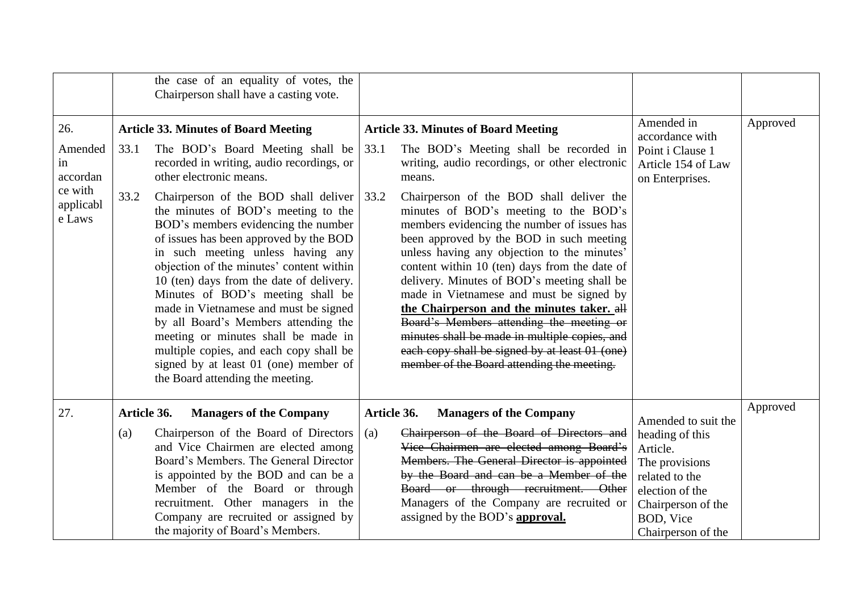|                                                                    |                    | the case of an equality of votes, the<br>Chairperson shall have a casting vote.                                                                                                                                                                                                                                                                                                                                                                                                                                                                                                                                                                                                                                                           |                    |                                                                                                                                                                                                                                                                                                                                                                                                                                                                                                                                                                                                                                                                                                                                                                         |                                                                                                                     |          |
|--------------------------------------------------------------------|--------------------|-------------------------------------------------------------------------------------------------------------------------------------------------------------------------------------------------------------------------------------------------------------------------------------------------------------------------------------------------------------------------------------------------------------------------------------------------------------------------------------------------------------------------------------------------------------------------------------------------------------------------------------------------------------------------------------------------------------------------------------------|--------------------|-------------------------------------------------------------------------------------------------------------------------------------------------------------------------------------------------------------------------------------------------------------------------------------------------------------------------------------------------------------------------------------------------------------------------------------------------------------------------------------------------------------------------------------------------------------------------------------------------------------------------------------------------------------------------------------------------------------------------------------------------------------------------|---------------------------------------------------------------------------------------------------------------------|----------|
| 26.<br>Amended<br>in<br>accordan<br>ce with<br>applicabl<br>e Laws | 33.1<br>33.2       | <b>Article 33. Minutes of Board Meeting</b><br>The BOD's Board Meeting shall be<br>recorded in writing, audio recordings, or<br>other electronic means.<br>Chairperson of the BOD shall deliver<br>the minutes of BOD's meeting to the<br>BOD's members evidencing the number<br>of issues has been approved by the BOD<br>in such meeting unless having any<br>objection of the minutes' content within<br>10 (ten) days from the date of delivery.<br>Minutes of BOD's meeting shall be<br>made in Vietnamese and must be signed<br>by all Board's Members attending the<br>meeting or minutes shall be made in<br>multiple copies, and each copy shall be<br>signed by at least 01 (one) member of<br>the Board attending the meeting. | 33.1<br>33.2       | <b>Article 33. Minutes of Board Meeting</b><br>The BOD's Meeting shall be recorded in<br>writing, audio recordings, or other electronic<br>means.<br>Chairperson of the BOD shall deliver the<br>minutes of BOD's meeting to the BOD's<br>members evidencing the number of issues has<br>been approved by the BOD in such meeting<br>unless having any objection to the minutes'<br>content within 10 (ten) days from the date of<br>delivery. Minutes of BOD's meeting shall be<br>made in Vietnamese and must be signed by<br>the Chairperson and the minutes taker. all<br>Board's Members attending the meeting or<br>minutes shall be made in multiple copies, and<br>each copy shall be signed by at least 01 (one)<br>member of the Board attending the meeting. | Amended in<br>accordance with<br>Point i Clause 1<br>Article 154 of Law<br>on Enterprises.                          | Approved |
| 27.                                                                | Article 36.<br>(a) | <b>Managers of the Company</b><br>Chairperson of the Board of Directors<br>and Vice Chairmen are elected among                                                                                                                                                                                                                                                                                                                                                                                                                                                                                                                                                                                                                            | Article 36.<br>(a) | <b>Managers of the Company</b><br>Chairperson of the Board of Directors and<br>Vice Chairmen are elected among Board's                                                                                                                                                                                                                                                                                                                                                                                                                                                                                                                                                                                                                                                  | Amended to suit the<br>heading of this<br>Article.                                                                  | Approved |
|                                                                    |                    | Board's Members. The General Director<br>is appointed by the BOD and can be a<br>Member of the Board or through<br>recruitment. Other managers in the<br>Company are recruited or assigned by<br>the majority of Board's Members.                                                                                                                                                                                                                                                                                                                                                                                                                                                                                                         |                    | Members. The General Director is appointed<br>by the Board and can be a Member of the<br>Board or through recruitment. Other<br>Managers of the Company are recruited or<br>assigned by the BOD's <b>approval.</b>                                                                                                                                                                                                                                                                                                                                                                                                                                                                                                                                                      | The provisions<br>related to the<br>election of the<br>Chairperson of the<br><b>BOD, Vice</b><br>Chairperson of the |          |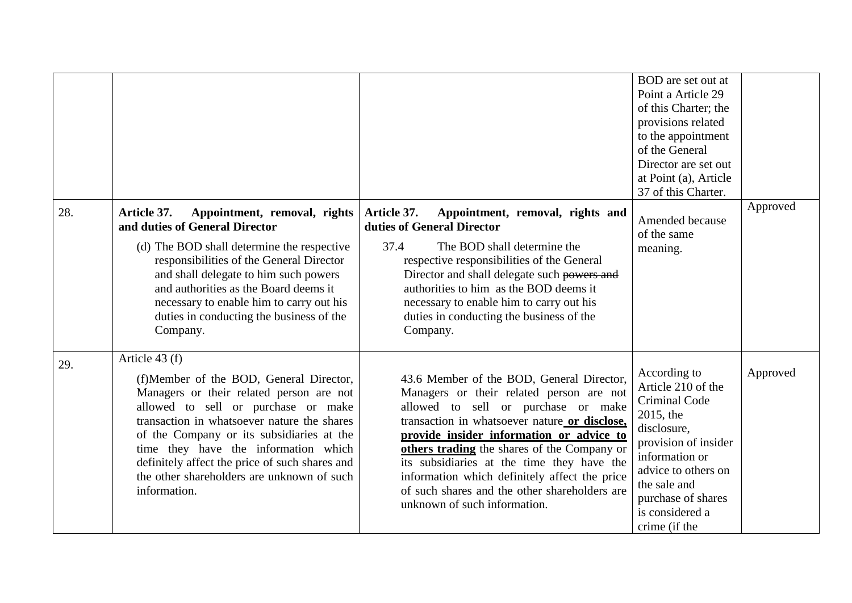| 28. | Article 37.<br>Appointment, removal, rights                                                                                                                                                                                                                                                                                                                                                      | Article 37.<br>Appointment, removal, rights and                                                                                                                                                                                                                                                                                                                                                                                                          | BOD are set out at<br>Point a Article 29<br>of this Charter; the<br>provisions related<br>to the appointment<br>of the General<br>Director are set out<br>at Point (a), Article<br>37 of this Charter.<br>Amended because         | Approved |
|-----|--------------------------------------------------------------------------------------------------------------------------------------------------------------------------------------------------------------------------------------------------------------------------------------------------------------------------------------------------------------------------------------------------|----------------------------------------------------------------------------------------------------------------------------------------------------------------------------------------------------------------------------------------------------------------------------------------------------------------------------------------------------------------------------------------------------------------------------------------------------------|-----------------------------------------------------------------------------------------------------------------------------------------------------------------------------------------------------------------------------------|----------|
|     | and duties of General Director<br>(d) The BOD shall determine the respective<br>responsibilities of the General Director<br>and shall delegate to him such powers<br>and authorities as the Board deems it<br>necessary to enable him to carry out his<br>duties in conducting the business of the<br>Company.                                                                                   | duties of General Director<br>37.4<br>The BOD shall determine the<br>respective responsibilities of the General<br>Director and shall delegate such powers and<br>authorities to him as the BOD deems it<br>necessary to enable him to carry out his<br>duties in conducting the business of the<br>Company.                                                                                                                                             | of the same<br>meaning.                                                                                                                                                                                                           |          |
| 29. | Article 43 (f)<br>(f)Member of the BOD, General Director,<br>Managers or their related person are not<br>allowed to sell or purchase or make<br>transaction in whatsoever nature the shares<br>of the Company or its subsidiaries at the<br>time they have the information which<br>definitely affect the price of such shares and<br>the other shareholders are unknown of such<br>information. | 43.6 Member of the BOD, General Director,<br>Managers or their related person are not<br>allowed to sell or purchase or make<br>transaction in whatsoever nature or disclose,<br>provide insider information or advice to<br>others trading the shares of the Company or<br>its subsidiaries at the time they have the<br>information which definitely affect the price<br>of such shares and the other shareholders are<br>unknown of such information. | According to<br>Article 210 of the<br><b>Criminal Code</b><br>2015, the<br>disclosure,<br>provision of insider<br>information or<br>advice to others on<br>the sale and<br>purchase of shares<br>is considered a<br>crime (if the | Approved |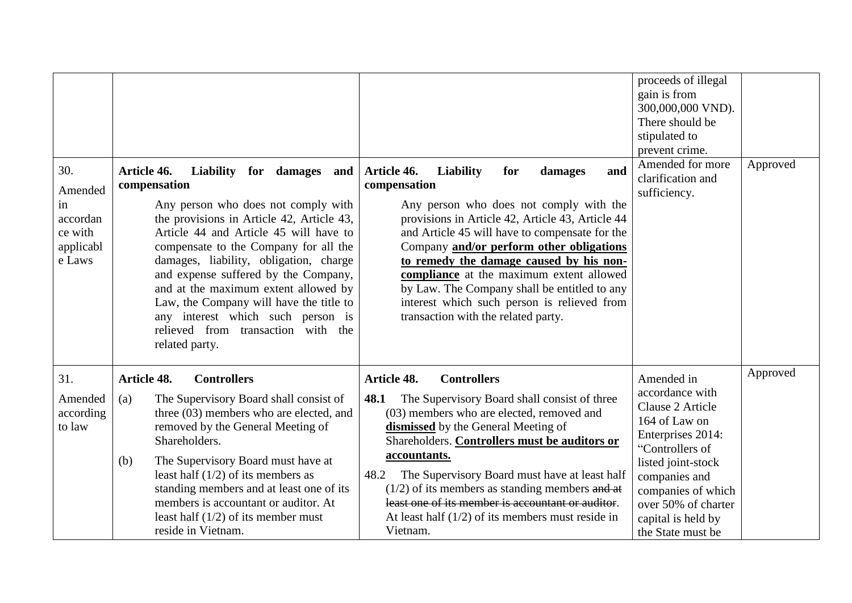|                                                                    |                                                                                                                                                                                                                                                                                                                                                                                                                                                                                                   |                                                                                                                                                                                                                                                                                                                                                                                                                                                                                                    | proceeds of illegal<br>gain is from<br>300,000,000 VND).<br>There should be<br>stipulated to<br>prevent crime.                                                                                                                            |          |
|--------------------------------------------------------------------|---------------------------------------------------------------------------------------------------------------------------------------------------------------------------------------------------------------------------------------------------------------------------------------------------------------------------------------------------------------------------------------------------------------------------------------------------------------------------------------------------|----------------------------------------------------------------------------------------------------------------------------------------------------------------------------------------------------------------------------------------------------------------------------------------------------------------------------------------------------------------------------------------------------------------------------------------------------------------------------------------------------|-------------------------------------------------------------------------------------------------------------------------------------------------------------------------------------------------------------------------------------------|----------|
| 30.<br>Amended<br>in<br>accordan<br>ce with<br>applicabl<br>e Laws | Liability for damages and<br>Article 46.<br>compensation<br>Any person who does not comply with<br>the provisions in Article 42, Article 43,<br>Article 44 and Article 45 will have to<br>compensate to the Company for all the<br>damages, liability, obligation, charge<br>and expense suffered by the Company,<br>and at the maximum extent allowed by<br>Law, the Company will have the title to<br>any interest which such person is<br>relieved from transaction with the<br>related party. | Article 46.<br><b>Liability</b><br>for<br>damages<br>and<br>compensation<br>Any person who does not comply with the<br>provisions in Article 42, Article 43, Article 44<br>and Article 45 will have to compensate for the<br>Company and/or perform other obligations<br>to remedy the damage caused by his non-<br>compliance at the maximum extent allowed<br>by Law. The Company shall be entitled to any<br>interest which such person is relieved from<br>transaction with the related party. | Amended for more<br>clarification and<br>sufficiency.                                                                                                                                                                                     | Approved |
| 31.<br>Amended<br>according<br>to law                              | <b>Article 48.</b><br><b>Controllers</b><br>(a)<br>The Supervisory Board shall consist of<br>three (03) members who are elected, and<br>removed by the General Meeting of<br>Shareholders.<br>The Supervisory Board must have at<br>(b)<br>least half $(1/2)$ of its members as<br>standing members and at least one of its<br>members is accountant or auditor. At<br>least half $(1/2)$ of its member must<br>reside in Vietnam.                                                                | Article 48.<br><b>Controllers</b><br>48.1<br>The Supervisory Board shall consist of three<br>(03) members who are elected, removed and<br>dismissed by the General Meeting of<br>Shareholders. Controllers must be auditors or<br>accountants.<br>48.2<br>The Supervisory Board must have at least half<br>$(1/2)$ of its members as standing members and at<br>least one of its member is accountant or auditor.<br>At least half $(1/2)$ of its members must reside in<br>Vietnam.               | Amended in<br>accordance with<br>Clause 2 Article<br>164 of Law on<br>Enterprises 2014:<br>"Controllers of<br>listed joint-stock<br>companies and<br>companies of which<br>over 50% of charter<br>capital is held by<br>the State must be | Approved |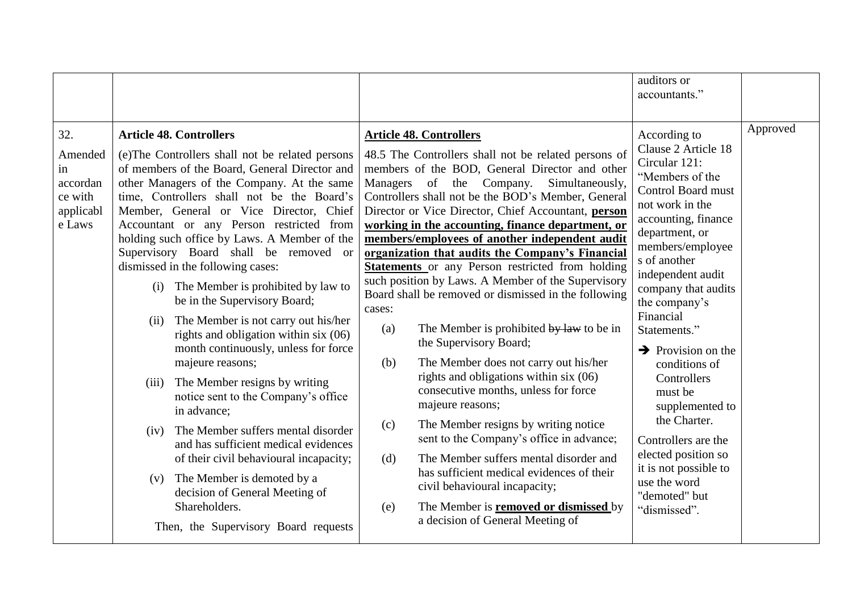|                                                                    |                                                                                                                                                                                                                                                                                                                                                                                                                                                                                                                                                                                                                                                                                                                                                                                                                                                                                                                                                                                                                                                      |                                                                                                                                                                                                                                                                                                                                                                                                                                                                                                                                                                                                                                                                                                                                                                                                                                                                                                                                                                                                                                                                                                                                                                                                    | auditors or<br>accountants."                                                                                                                                                                                                                                                                                                                                                                                                                                                                                                           |          |
|--------------------------------------------------------------------|------------------------------------------------------------------------------------------------------------------------------------------------------------------------------------------------------------------------------------------------------------------------------------------------------------------------------------------------------------------------------------------------------------------------------------------------------------------------------------------------------------------------------------------------------------------------------------------------------------------------------------------------------------------------------------------------------------------------------------------------------------------------------------------------------------------------------------------------------------------------------------------------------------------------------------------------------------------------------------------------------------------------------------------------------|----------------------------------------------------------------------------------------------------------------------------------------------------------------------------------------------------------------------------------------------------------------------------------------------------------------------------------------------------------------------------------------------------------------------------------------------------------------------------------------------------------------------------------------------------------------------------------------------------------------------------------------------------------------------------------------------------------------------------------------------------------------------------------------------------------------------------------------------------------------------------------------------------------------------------------------------------------------------------------------------------------------------------------------------------------------------------------------------------------------------------------------------------------------------------------------------------|----------------------------------------------------------------------------------------------------------------------------------------------------------------------------------------------------------------------------------------------------------------------------------------------------------------------------------------------------------------------------------------------------------------------------------------------------------------------------------------------------------------------------------------|----------|
| 32.<br>Amended<br>in<br>accordan<br>ce with<br>applicabl<br>e Laws | <b>Article 48. Controllers</b><br>(e) The Controllers shall not be related persons<br>of members of the Board, General Director and<br>other Managers of the Company. At the same<br>time, Controllers shall not be the Board's<br>Member, General or Vice Director, Chief<br>Accountant or any Person restricted from<br>holding such office by Laws. A Member of the<br>Supervisory Board shall be removed or<br>dismissed in the following cases:<br>The Member is prohibited by law to<br>(i)<br>be in the Supervisory Board;<br>The Member is not carry out his/her<br>(ii)<br>rights and obligation within six $(06)$<br>month continuously, unless for force<br>majeure reasons;<br>(iii) The Member resigns by writing<br>notice sent to the Company's office<br>in advance;<br>The Member suffers mental disorder<br>(iv)<br>and has sufficient medical evidences<br>of their civil behavioural incapacity;<br>The Member is demoted by a<br>(v)<br>decision of General Meeting of<br>Shareholders.<br>Then, the Supervisory Board requests | <b>Article 48. Controllers</b><br>48.5 The Controllers shall not be related persons of<br>members of the BOD, General Director and other<br>Managers of the Company. Simultaneously,<br>Controllers shall not be the BOD's Member, General<br>Director or Vice Director, Chief Accountant, person<br>working in the accounting, finance department, or<br>members/employees of another independent audit<br>organization that audits the Company's Financial<br><b>Statements</b> or any Person restricted from holding<br>such position by Laws. A Member of the Supervisory<br>Board shall be removed or dismissed in the following<br>cases:<br>The Member is prohibited by law to be in<br>(a)<br>the Supervisory Board;<br>The Member does not carry out his/her<br>(b)<br>rights and obligations within six $(06)$<br>consecutive months, unless for force<br>majeure reasons;<br>The Member resigns by writing notice<br>(c)<br>sent to the Company's office in advance;<br>The Member suffers mental disorder and<br>(d)<br>has sufficient medical evidences of their<br>civil behavioural incapacity;<br>The Member is removed or dismissed by<br>(e)<br>a decision of General Meeting of | According to<br>Clause 2 Article 18<br>Circular 121:<br>"Members of the<br><b>Control Board must</b><br>not work in the<br>accounting, finance<br>department, or<br>members/employee<br>s of another<br>independent audit<br>company that audits<br>the company's<br>Financial<br>Statements."<br>$\rightarrow$ Provision on the<br>conditions of<br>Controllers<br>must be<br>supplemented to<br>the Charter.<br>Controllers are the<br>elected position so<br>it is not possible to<br>use the word<br>"demoted" but<br>"dismissed". | Approved |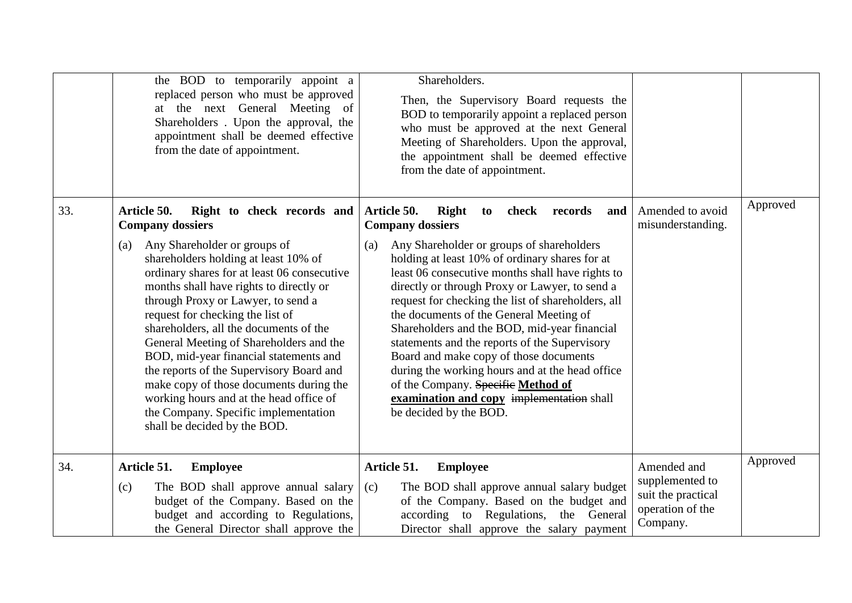|     | the BOD to temporarily appoint a<br>replaced person who must be approved<br>at the next General Meeting of<br>Shareholders. Upon the approval, the<br>appointment shall be deemed effective<br>from the date of appointment.                                                                                                                                                                                                                                                                                                                                                                                                                                     | Shareholders.<br>Then, the Supervisory Board requests the<br>BOD to temporarily appoint a replaced person<br>who must be approved at the next General<br>Meeting of Shareholders. Upon the approval,<br>the appointment shall be deemed effective<br>from the date of appointment.                                                                                                                                                                                                                                                                                                                                                                                                                       |                                                                                      |          |
|-----|------------------------------------------------------------------------------------------------------------------------------------------------------------------------------------------------------------------------------------------------------------------------------------------------------------------------------------------------------------------------------------------------------------------------------------------------------------------------------------------------------------------------------------------------------------------------------------------------------------------------------------------------------------------|----------------------------------------------------------------------------------------------------------------------------------------------------------------------------------------------------------------------------------------------------------------------------------------------------------------------------------------------------------------------------------------------------------------------------------------------------------------------------------------------------------------------------------------------------------------------------------------------------------------------------------------------------------------------------------------------------------|--------------------------------------------------------------------------------------|----------|
| 33. | Article 50.<br>Right to check records and<br><b>Company dossiers</b><br>Any Shareholder or groups of<br>(a)<br>shareholders holding at least 10% of<br>ordinary shares for at least 06 consecutive<br>months shall have rights to directly or<br>through Proxy or Lawyer, to send a<br>request for checking the list of<br>shareholders, all the documents of the<br>General Meeting of Shareholders and the<br>BOD, mid-year financial statements and<br>the reports of the Supervisory Board and<br>make copy of those documents during the<br>working hours and at the head office of<br>the Company. Specific implementation<br>shall be decided by the BOD. | Article 50.<br>Right<br>check<br>records<br>to<br>and<br><b>Company dossiers</b><br>Any Shareholder or groups of shareholders<br>(a)<br>holding at least 10% of ordinary shares for at<br>least 06 consecutive months shall have rights to<br>directly or through Proxy or Lawyer, to send a<br>request for checking the list of shareholders, all<br>the documents of the General Meeting of<br>Shareholders and the BOD, mid-year financial<br>statements and the reports of the Supervisory<br>Board and make copy of those documents<br>during the working hours and at the head office<br>of the Company. Specific Method of<br>examination and copy implementation shall<br>be decided by the BOD. | Amended to avoid<br>misunderstanding.                                                | Approved |
| 34. | Article 51.<br><b>Employee</b><br>(c)<br>The BOD shall approve annual salary<br>budget of the Company. Based on the<br>budget and according to Regulations,<br>the General Director shall approve the                                                                                                                                                                                                                                                                                                                                                                                                                                                            | Article 51.<br><b>Employee</b><br>The BOD shall approve annual salary budget<br>(c)<br>of the Company. Based on the budget and<br>according to Regulations, the General<br>Director shall approve the salary payment                                                                                                                                                                                                                                                                                                                                                                                                                                                                                     | Amended and<br>supplemented to<br>suit the practical<br>operation of the<br>Company. | Approved |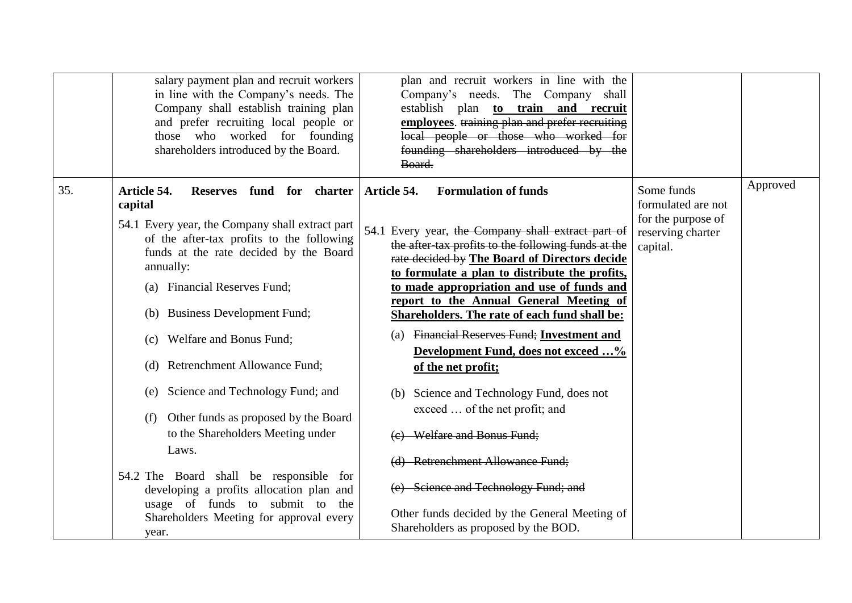|     | salary payment plan and recruit workers<br>in line with the Company's needs. The<br>Company shall establish training plan<br>and prefer recruiting local people or<br>those who worked for founding<br>shareholders introduced by the Board.                                                                                                                                                                                                                                                                                                                                                                                                                                              | plan and recruit workers in line with the<br>Company's needs. The Company shall<br>establish plan to train and recruit<br>employees. training plan and prefer recruiting<br>local people or those who worked for<br>founding shareholders introduced by the<br>Board.                                                                                                                                                                                                                                                                                                                                                                                                                                                                                                                               |                                                                                         |          |
|-----|-------------------------------------------------------------------------------------------------------------------------------------------------------------------------------------------------------------------------------------------------------------------------------------------------------------------------------------------------------------------------------------------------------------------------------------------------------------------------------------------------------------------------------------------------------------------------------------------------------------------------------------------------------------------------------------------|-----------------------------------------------------------------------------------------------------------------------------------------------------------------------------------------------------------------------------------------------------------------------------------------------------------------------------------------------------------------------------------------------------------------------------------------------------------------------------------------------------------------------------------------------------------------------------------------------------------------------------------------------------------------------------------------------------------------------------------------------------------------------------------------------------|-----------------------------------------------------------------------------------------|----------|
| 35. | Article 54.<br>Reserves fund for charter<br>capital<br>54.1 Every year, the Company shall extract part<br>of the after-tax profits to the following<br>funds at the rate decided by the Board<br>annually:<br><b>Financial Reserves Fund;</b><br>(a)<br>(b) Business Development Fund;<br>Welfare and Bonus Fund;<br>(c)<br><b>Retrenchment Allowance Fund;</b><br>(d)<br>(e) Science and Technology Fund; and<br>Other funds as proposed by the Board<br>(f)<br>to the Shareholders Meeting under<br>Laws.<br>54.2 The Board shall be responsible for<br>developing a profits allocation plan and<br>usage of funds to submit to the<br>Shareholders Meeting for approval every<br>year. | <b>Formulation of funds</b><br>Article 54.<br>54.1 Every year, the Company shall extract part of<br>the after-tax profits to the following funds at the<br>rate decided by The Board of Directors decide<br>to formulate a plan to distribute the profits,<br>to made appropriation and use of funds and<br>report to the Annual General Meeting of<br>Shareholders. The rate of each fund shall be:<br>(a) Financial Reserves Fund; Investment and<br>Development Fund, does not exceed %<br>of the net profit;<br>(b) Science and Technology Fund, does not<br>exceed  of the net profit; and<br>(e) Welfare and Bonus Fund;<br>(d) Retrenchment Allowance Fund;<br>(e) Science and Technology Fund; and<br>Other funds decided by the General Meeting of<br>Shareholders as proposed by the BOD. | Some funds<br>formulated are not<br>for the purpose of<br>reserving charter<br>capital. | Approved |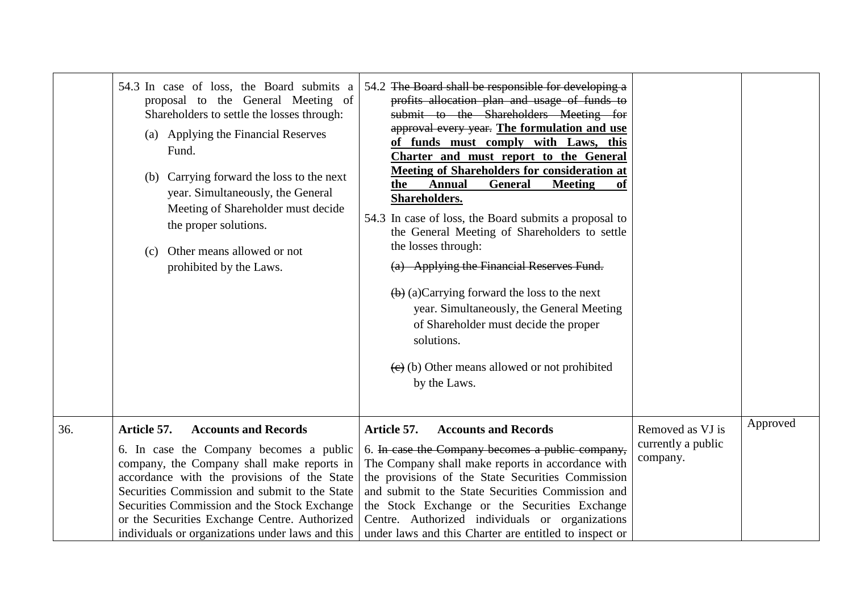|     | 54.3 In case of loss, the Board submits a<br>proposal to the General Meeting of<br>Shareholders to settle the losses through:<br>(a) Applying the Financial Reserves<br>Fund.<br>Carrying forward the loss to the next<br>(b)<br>year. Simultaneously, the General<br>Meeting of Shareholder must decide<br>the proper solutions.<br>Other means allowed or not<br>(c)<br>prohibited by the Laws. | 54.2 The Board shall be responsible for developing a<br>profits allocation plan and usage of funds to<br>submit to the Shareholders Meeting for<br>approval every year. The formulation and use<br>of funds must comply with Laws, this<br>Charter and must report to the General<br><b>Meeting of Shareholders for consideration at</b><br>the<br><b>Annual</b><br><b>General</b><br><b>Meeting</b><br>0ľ<br>Shareholders.<br>54.3 In case of loss, the Board submits a proposal to<br>the General Meeting of Shareholders to settle<br>the losses through:<br>(a) Applying the Financial Reserves Fund.<br>$\left(\frac{b}{c}\right)$ (a) Carrying forward the loss to the next<br>year. Simultaneously, the General Meeting<br>of Shareholder must decide the proper<br>solutions.<br>$\left(\frac{1}{x}\right)$ (b) Other means allowed or not prohibited<br>by the Laws. |                                                    |          |
|-----|---------------------------------------------------------------------------------------------------------------------------------------------------------------------------------------------------------------------------------------------------------------------------------------------------------------------------------------------------------------------------------------------------|-------------------------------------------------------------------------------------------------------------------------------------------------------------------------------------------------------------------------------------------------------------------------------------------------------------------------------------------------------------------------------------------------------------------------------------------------------------------------------------------------------------------------------------------------------------------------------------------------------------------------------------------------------------------------------------------------------------------------------------------------------------------------------------------------------------------------------------------------------------------------------|----------------------------------------------------|----------|
| 36. | Article 57.<br><b>Accounts and Records</b><br>6. In case the Company becomes a public<br>company, the Company shall make reports in<br>accordance with the provisions of the State<br>Securities Commission and submit to the State<br>Securities Commission and the Stock Exchange<br>or the Securities Exchange Centre. Authorized<br>individuals or organizations under laws and this          | <b>Accounts and Records</b><br>Article 57.<br>6. In case the Company becomes a public company,<br>The Company shall make reports in accordance with<br>the provisions of the State Securities Commission<br>and submit to the State Securities Commission and<br>the Stock Exchange or the Securities Exchange<br>Centre. Authorized individuals or organizations<br>under laws and this Charter are entitled to inspect or                                                                                                                                                                                                                                                                                                                                                                                                                                                   | Removed as VJ is<br>currently a public<br>company. | Approved |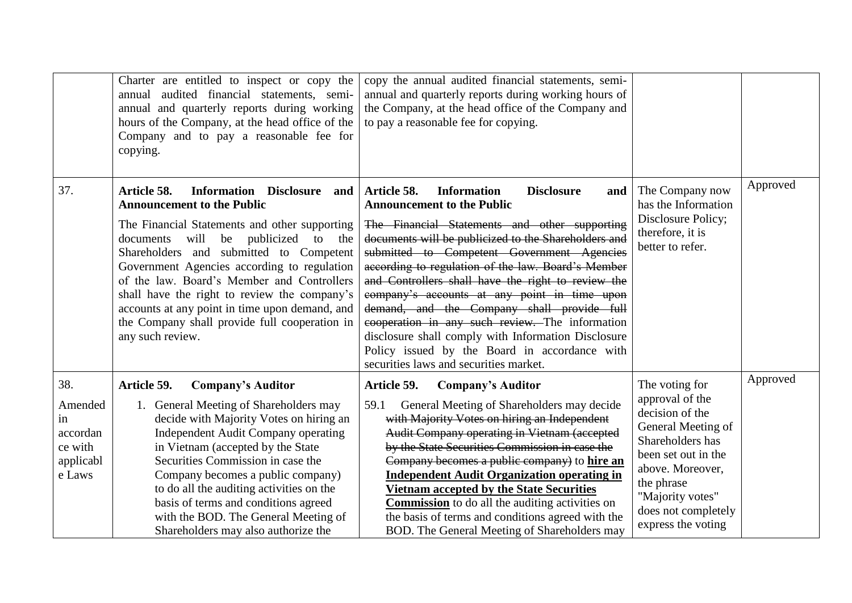|                                                                    | Charter are entitled to inspect or copy the<br>annual audited financial statements, semi-<br>annual and quarterly reports during working<br>hours of the Company, at the head office of the<br>Company and to pay a reasonable fee for<br>copying.                                                                                                                                                                                                                                                | copy the annual audited financial statements, semi-<br>annual and quarterly reports during working hours of<br>the Company, at the head office of the Company and<br>to pay a reasonable fee for copying.                                                                                                                                                                                                                                                                                                                                                                                                                                                                |                                                                                                                                                                                                                          |          |
|--------------------------------------------------------------------|---------------------------------------------------------------------------------------------------------------------------------------------------------------------------------------------------------------------------------------------------------------------------------------------------------------------------------------------------------------------------------------------------------------------------------------------------------------------------------------------------|--------------------------------------------------------------------------------------------------------------------------------------------------------------------------------------------------------------------------------------------------------------------------------------------------------------------------------------------------------------------------------------------------------------------------------------------------------------------------------------------------------------------------------------------------------------------------------------------------------------------------------------------------------------------------|--------------------------------------------------------------------------------------------------------------------------------------------------------------------------------------------------------------------------|----------|
| 37.                                                                | Article 58.<br>Information Disclosure and<br><b>Announcement to the Public</b><br>The Financial Statements and other supporting<br>will<br>be publicized<br>documents<br>to<br>the<br>Shareholders and submitted to Competent<br>Government Agencies according to regulation<br>of the law. Board's Member and Controllers<br>shall have the right to review the company's<br>accounts at any point in time upon demand, and<br>the Company shall provide full cooperation in<br>any such review. | Article 58.<br><b>Information</b><br><b>Disclosure</b><br>and<br><b>Announcement to the Public</b><br>The Financial Statements and other supporting<br>documents will be publicized to the Shareholders and<br>submitted to Competent Government Agencies<br>according to regulation of the law. Board's Member<br>and Controllers shall have the right to review the<br>company's accounts at any point in time upon<br>demand, and the Company shall provide full<br>cooperation in any such review. The information<br>disclosure shall comply with Information Disclosure<br>Policy issued by the Board in accordance with<br>securities laws and securities market. | The Company now<br>has the Information<br>Disclosure Policy;<br>therefore, it is<br>better to refer.                                                                                                                     | Approved |
| 38.<br>Amended<br>1n<br>accordan<br>ce with<br>applicabl<br>e Laws | <b>Company's Auditor</b><br>Article 59.<br>1. General Meeting of Shareholders may<br>decide with Majority Votes on hiring an<br><b>Independent Audit Company operating</b><br>in Vietnam (accepted by the State<br>Securities Commission in case the<br>Company becomes a public company)<br>to do all the auditing activities on the<br>basis of terms and conditions agreed<br>with the BOD. The General Meeting of<br>Shareholders may also authorize the                                      | Article 59.<br><b>Company's Auditor</b><br>General Meeting of Shareholders may decide<br>59.1<br>with Majority Votes on hiring an Independent<br>Audit Company operating in Vietnam (accepted<br>by the State Securities Commission in case the<br>Company becomes a public company) to hire an<br><b>Independent Audit Organization operating in</b><br><b>Vietnam accepted by the State Securities</b><br><b>Commission</b> to do all the auditing activities on<br>the basis of terms and conditions agreed with the<br>BOD. The General Meeting of Shareholders may                                                                                                  | The voting for<br>approval of the<br>decision of the<br>General Meeting of<br>Shareholders has<br>been set out in the<br>above. Moreover,<br>the phrase<br>"Majority votes"<br>does not completely<br>express the voting | Approved |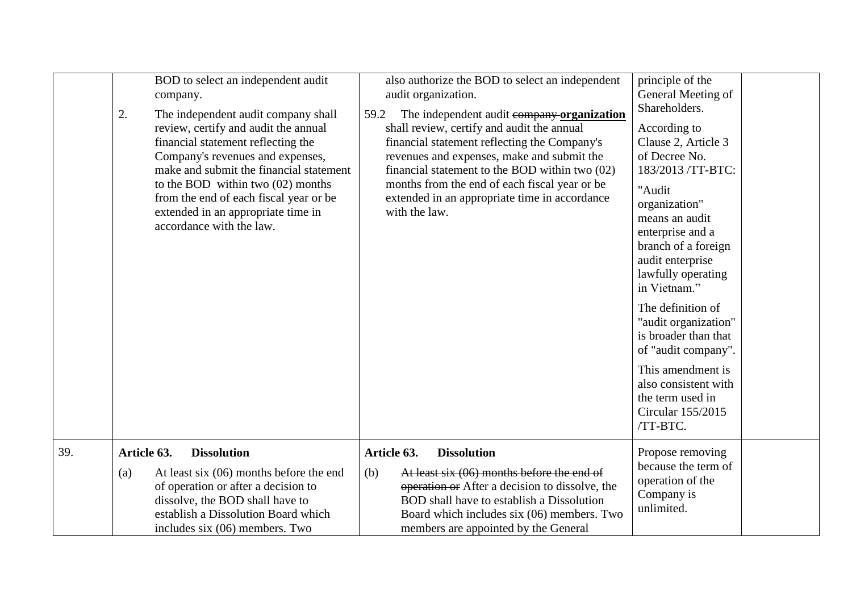|     | BOD to select an independent audit<br>company.<br>2.<br>The independent audit company shall<br>review, certify and audit the annual<br>financial statement reflecting the<br>Company's revenues and expenses,<br>make and submit the financial statement<br>to the BOD within two $(02)$ months<br>from the end of each fiscal year or be<br>extended in an appropriate time in<br>accordance with the law. | also authorize the BOD to select an independent<br>audit organization.<br>The independent audit company organization<br>59.2<br>shall review, certify and audit the annual<br>financial statement reflecting the Company's<br>revenues and expenses, make and submit the<br>financial statement to the BOD within two (02)<br>months from the end of each fiscal year or be<br>extended in an appropriate time in accordance<br>with the law. | principle of the<br>General Meeting of<br>Shareholders.<br>According to<br>Clause 2, Article 3<br>of Decree No.<br>183/2013 /TT-BTC:<br>"Audit<br>organization"<br>means an audit<br>enterprise and a<br>branch of a foreign<br>audit enterprise<br>lawfully operating<br>in Vietnam."<br>The definition of<br>"audit organization"<br>is broader than that<br>of "audit company".<br>This amendment is<br>also consistent with<br>the term used in<br>Circular 155/2015 |
|-----|-------------------------------------------------------------------------------------------------------------------------------------------------------------------------------------------------------------------------------------------------------------------------------------------------------------------------------------------------------------------------------------------------------------|-----------------------------------------------------------------------------------------------------------------------------------------------------------------------------------------------------------------------------------------------------------------------------------------------------------------------------------------------------------------------------------------------------------------------------------------------|--------------------------------------------------------------------------------------------------------------------------------------------------------------------------------------------------------------------------------------------------------------------------------------------------------------------------------------------------------------------------------------------------------------------------------------------------------------------------|
| 39. | Article 63.<br><b>Dissolution</b>                                                                                                                                                                                                                                                                                                                                                                           | Article 63.<br><b>Dissolution</b>                                                                                                                                                                                                                                                                                                                                                                                                             | /TT-BTC.<br>Propose removing                                                                                                                                                                                                                                                                                                                                                                                                                                             |
|     | At least six $(06)$ months before the end<br>(a)<br>of operation or after a decision to<br>dissolve, the BOD shall have to<br>establish a Dissolution Board which<br>includes six (06) members. Two                                                                                                                                                                                                         | (b)<br>At least six (06) months before the end of<br>operation or After a decision to dissolve, the<br>BOD shall have to establish a Dissolution<br>Board which includes six (06) members. Two<br>members are appointed by the General                                                                                                                                                                                                        | because the term of<br>operation of the<br>Company is<br>unlimited.                                                                                                                                                                                                                                                                                                                                                                                                      |